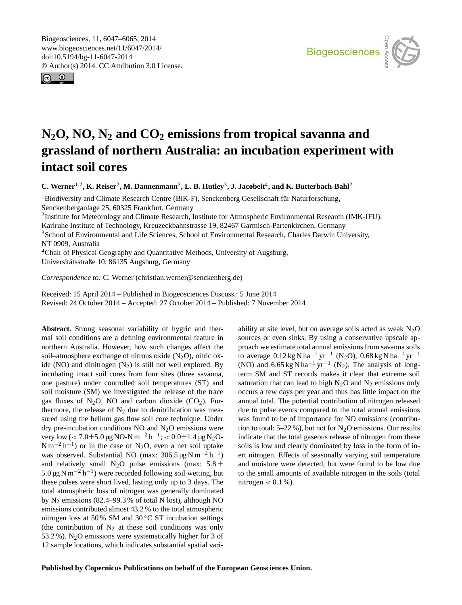<span id="page-0-1"></span>Biogeosciences, 11, 6047–6065, 2014 www.biogeosciences.net/11/6047/2014/ doi:10.5194/bg-11-6047-2014 © Author(s) 2014. CC Attribution 3.0 License.





# **N2O, NO, N<sup>2</sup> and CO<sup>2</sup> emissions from tropical savanna and grassland of northern Australia: an incubation experiment with intact soil cores**

**C.** Werner<sup>[1,2](#page-0-0)</sup>, **K.** Reiser<sup>[2](#page-0-0)</sup>, M. Dannenmann<sup>2</sup>, L. B. Hutley<sup>[3](#page-0-0)</sup>, J. Jacobeit<sup>[4](#page-0-0)</sup>, and K. Butterbach-Bahl<sup>2</sup>

<sup>1</sup>Biodiversity and Climate Research Centre (BiK-F), Senckenberg Gesellschaft für Naturforschung, Senckenberganlage 25, 60325 Frankfurt, Germany

<sup>2</sup>Institute for Meteorology and Climate Research, Institute for Atmospheric Environmental Research (IMK-IFU),

Karlruhe Institute of Technology, Kreuzeckbahnstrasse 19, 82467 Garmisch-Partenkirchen, Germany

<sup>3</sup>School of Environmental and Life Sciences, School of Environmental Research, Charles Darwin University, NT 0909, Australia

<sup>4</sup>Chair of Physical Geography and Quantitative Methods, University of Augsburg, Universitätsstraße 10, 86135 Augsburg, Germany

*Correspondence to:* C. Werner (christian.werner@senckenberg.de)

Received: 15 April 2014 – Published in Biogeosciences Discuss.: 5 June 2014 Revised: 24 October 2014 – Accepted: 27 October 2014 – Published: 7 November 2014

<span id="page-0-0"></span>**Abstract.** Strong seasonal variability of hygric and thermal soil conditions are a defining environmental feature in northern Australia. However, how such changes affect the soil–atmosphere exchange of nitrous oxide  $(N_2O)$ , nitric oxide (NO) and dinitrogen  $(N_2)$  is still not well explored. By incubating intact soil cores from four sites (three savanna, one pasture) under controlled soil temperatures (ST) and soil moisture (SM) we investigated the release of the trace gas fluxes of  $N_2O$ , NO and carbon dioxide (CO<sub>2</sub>). Furthermore, the release of  $N_2$  due to denitrification was measured using the helium gas flow soil core technique. Under dry pre-incubation conditions NO and  $N_2O$  emissions were very low (< 7.0±5.0 µg NO-N m<sup>-2</sup> h<sup>-1</sup>; < 0.0±1.4 µg N<sub>2</sub>O- $Nm^{-2}h^{-1}$ ) or in the case of N<sub>2</sub>O, even a net soil uptake was observed. Substantial NO (max:  $306.5 \,\mu g \,\mathrm{N m^{-2} h^{-1}}$ ) and relatively small N<sub>2</sub>O pulse emissions (max:  $5.8 \pm$ 5.0 µg N m<sup>-2</sup> h<sup>-1</sup>) were recorded following soil wetting, but these pulses were short lived, lasting only up to 3 days. The total atmospheric loss of nitrogen was generally dominated by  $N_2$  emissions (82.4–99.3 % of total N lost), although NO emissions contributed almost 43.2 % to the total atmospheric nitrogen loss at 50 % SM and 30 ◦C ST incubation settings (the contribution of  $N_2$  at these soil conditions was only 53.2 %). N<sub>2</sub>O emissions were systematically higher for 3 of 12 sample locations, which indicates substantial spatial variability at site level, but on average soils acted as weak  $N_2O$ sources or even sinks. By using a conservative upscale approach we estimate total annual emissions from savanna soils to average  $0.12 \text{ kg N} \text{ ha}^{-1} \text{ yr}^{-1}$  (N<sub>2</sub>O),  $0.68 \text{ kg N} \text{ ha}^{-1} \text{ yr}^{-1}$ (NO) and  $6.65 \text{ kg} \text{ N} \text{ ha}^{-1} \text{ yr}^{-1}$  (N<sub>2</sub>). The analysis of longterm SM and ST records makes it clear that extreme soil saturation that can lead to high  $N_2O$  and  $N_2$  emissions only occurs a few days per year and thus has little impact on the annual total. The potential contribution of nitrogen released due to pulse events compared to the total annual emissions was found to be of importance for NO emissions (contribution to total:  $5-22\%$ ), but not for N<sub>2</sub>O emissions. Our results indicate that the total gaseous release of nitrogen from these soils is low and clearly dominated by loss in the form of inert nitrogen. Effects of seasonally varying soil temperature and moisture were detected, but were found to be low due to the small amounts of available nitrogen in the soils (total nitrogen  $< 0.1 %$ ).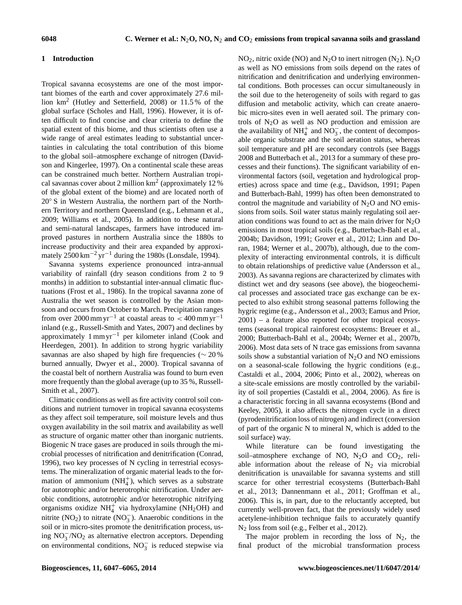### **1 Introduction**

Tropical savanna ecosystems are one of the most important biomes of the earth and cover approximately 27.6 million km<sup>2</sup> (Hutley and Setterfield, 2008) or 11.5 % of the global surface (Scholes and Hall, 1996). However, it is often difficult to find concise and clear criteria to define the spatial extent of this biome, and thus scientists often use a wide range of areal estimates leading to substantial uncertainties in calculating the total contribution of this biome to the global soil–atmosphere exchange of nitrogen (Davidson and Kingerlee, 1997). On a continental scale these areas can be constrained much better. Northern Australian tropical savannas cover about 2 million  $km^2$  (approximately 12%) of the global extent of the biome) and are located north of 20<sup>°</sup> S in Western Australia, the northern part of the Northern Territory and northern Queensland (e.g., Lehmann et al., 2009; Williams et al., 2005). In addition to these natural and semi-natural landscapes, farmers have introduced improved pastures in northern Australia since the 1880s to increase productivity and their area expanded by approximately  $2500 \text{ km}^{-2} \text{ yr}^{-1}$  during the 1980s (Lonsdale, 1994).

Savanna systems experience pronounced intra-annual variability of rainfall (dry season conditions from 2 to 9 months) in addition to substantial inter-annual climatic fluctuations (Frost et al., 1986). In the tropical savanna zone of Australia the wet season is controlled by the Asian monsoon and occurs from October to March. Precipitation ranges from over 2000 mm yr<sup>-1</sup> at coastal areas to < 400 mm yr<sup>-1</sup> inland (e.g., Russell-Smith and Yates, 2007) and declines by approximately 1 mm yr−<sup>1</sup> per kilometer inland (Cook and Heerdegen, 2001). In addition to strong hygric variability savannas are also shaped by high fire frequencies (∼ 20 % burned annually, Dwyer et al., 2000). Tropical savanna of the coastal belt of northern Australia was found to burn even more frequently than the global average (up to 35 %, Russell-Smith et al., 2007).

Climatic conditions as well as fire activity control soil conditions and nutrient turnover in tropical savanna ecosystems as they affect soil temperature, soil moisture levels and thus oxygen availability in the soil matrix and availability as well as structure of organic matter other than inorganic nutrients. Biogenic N trace gases are produced in soils through the microbial processes of nitrification and denitrification (Conrad, 1996), two key processes of N cycling in terrestrial ecosystems. The mineralization of organic material leads to the formation of ammonium  $(NH_4^+)$ , which serves as a substrate for autotrophic and/or heterotrophic nitrification. Under aerobic conditions, autotrophic and/or heterotrophic nitrifying organisms oxidize  $NH_4^+$  via hydroxylamine (NH<sub>2</sub>OH) and nitrite (NO<sub>2</sub>) to nitrate (NO<sub>3</sub>). Anaerobic conditions in the soil or in micro-sites promote the denitrification process, using NO<sup>−</sup> 3 /NO<sup>2</sup> as alternative electron acceptors. Depending on environmental conditions,  $NO_3^-$  is reduced stepwise via

 $NO<sub>2</sub>$ , nitric oxide (NO) and N<sub>2</sub>O to inert nitrogen (N<sub>2</sub>). N<sub>2</sub>O as well as NO emissions from soils depend on the rates of nitrification and denitrification and underlying environmental conditions. Both processes can occur simultaneously in the soil due to the heterogeneity of soils with regard to gas diffusion and metabolic activity, which can create anaerobic micro-sites even in well aerated soil. The primary controls of  $N_2O$  as well as NO production and emission are the availability of  $NH_4^+$  and  $NO_3^-$ , the content of decomposable organic substrate and the soil aeration status, whereas soil temperature and pH are secondary controls (see Baggs 2008 and Butterbach et al., 2013 for a summary of these processes and their functions). The significant variability of environmental factors (soil, vegetation and hydrological properties) across space and time (e.g., Davidson, 1991; Papen and Butterbach-Bahl, 1999) has often been demonstrated to control the magnitude and variability of  $N_2O$  and NO emissions from soils. Soil water status mainly regulating soil aeration conditions was found to act as the main driver for  $N<sub>2</sub>O$ emissions in most tropical soils (e.g., Butterbach-Bahl et al., 2004b; Davidson, 1991; Grover et al., 2012; Linn and Doran, 1984; Werner et al., 2007b), although, due to the complexity of interacting environmental controls, it is difficult to obtain relationships of predictive value (Andersson et al., 2003). As savanna regions are characterized by climates with distinct wet and dry seasons (see above), the biogeochemical processes and associated trace gas exchange can be expected to also exhibit strong seasonal patterns following the hygric regime (e.g., Andersson et al., 2003; Eamus and Prior, 2001) – a feature also reported for other tropical ecosystems (seasonal tropical rainforest ecosystems: Breuer et al., 2000; Butterbach-Bahl et al., 2004b; Werner et al., 2007b, 2006). Most data sets of N trace gas emissions from savanna soils show a substantial variation of  $N_2O$  and NO emissions on a seasonal-scale following the hygric conditions (e.g., Castaldi et al., 2004, 2006; Pinto et al., 2002), whereas on a site-scale emissions are mostly controlled by the variability of soil properties (Castaldi et al., 2004, 2006). As fire is a characteristic forcing in all savanna ecosystems (Bond and Keeley, 2005), it also affects the nitrogen cycle in a direct (pyrodenitrification loss of nitrogen) and indirect (conversion of part of the organic N to mineral N, which is added to the soil surface) way.

While literature can be found investigating the soil–atmosphere exchange of NO,  $N_2O$  and  $CO_2$ , reliable information about the release of  $N_2$  via microbial denitrification is unavailable for savanna systems and still scarce for other terrestrial ecosystems (Butterbach-Bahl et al., 2013; Dannenmann et al., 2011; Groffman et al., 2006). This is, in part, due to the reluctantly accepted, but currently well-proven fact, that the previously widely used acetylene-inhibition technique fails to accurately quantify N<sup>2</sup> loss from soil (e.g., Felber et al., 2012).

The major problem in recording the loss of  $N_2$ , the final product of the microbial transformation process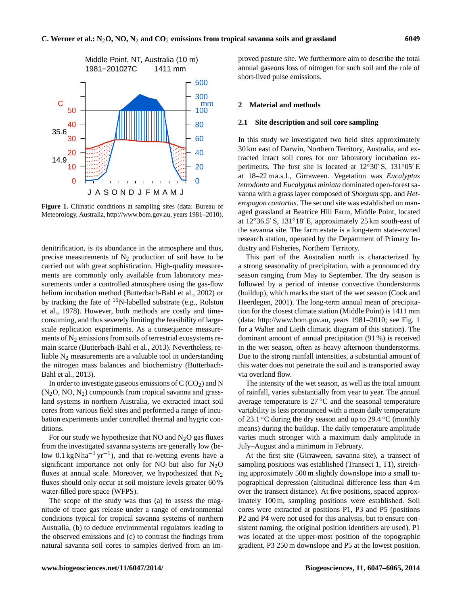

**Figure 1.** Climatic conditions at sampling sites (data: Bureau of Meteorology, Australia, [http://www.bom.gov.au,](http://www.bom.gov.au) years 1981–2010).

denitrification, is its abundance in the atmosphere and thus, precise measurements of  $N_2$  production of soil have to be carried out with great sophistication. High-quality measurements are commonly only available from laboratory measurements under a controlled atmosphere using the gas-flow helium incubation method (Butterbach-Bahl et al., 2002) or by tracking the fate of  $^{15}$ N-labelled substrate (e.g., Rolston et al., 1978). However, both methods are costly and timeconsuming, and thus severely limiting the feasibility of largescale replication experiments. As a consequence measurements of  $N_2$  emissions from soils of terrestrial ecosystems remain scarce (Butterbach-Bahl et al., 2013). Nevertheless, reliable  $N_2$  measurements are a valuable tool in understanding the nitrogen mass balances and biochemistry (Butterbach-Bahl et al., 2013).

In order to investigate gaseous emissions of  $C(CO<sub>2</sub>)$  and N  $(N_2O, NO, N_2)$  compounds from tropical savanna and grassland systems in northern Australia, we extracted intact soil cores from various field sites and performed a range of incubation experiments under controlled thermal and hygric conditions.

For our study we hypothesize that NO and  $N_2O$  gas fluxes from the investigated savanna systems are generally low (below  $0.1 \text{ kg} \text{ N} \text{ ha}^{-1} \text{ yr}^{-1}$ ), and that re-wetting events have a significant importance not only for NO but also for  $N_2O$ fluxes at annual scale. Moreover, we hypothesized that  $N_2$ fluxes should only occur at soil moisture levels greater 60 % water-filled pore space (WFPS).

The scope of the study was thus (a) to assess the magnitude of trace gas release under a range of environmental conditions typical for tropical savanna systems of northern Australia, (b) to deduce environmental regulators leading to the observed emissions and (c) to contrast the findings from natural savanna soil cores to samples derived from an improved pasture site. We furthermore aim to describe the total annual gaseous loss of nitrogen for such soil and the role of short-lived pulse emissions.

## **2 Material and methods**

## **2.1 Site description and soil core sampling**

In this study we investigated two field sites approximately 30 km east of Darwin, Northern Territory, Australia, and extracted intact soil cores for our laboratory incubation experiments. The first site is located at  $12°30'$  S,  $131°05'E$ at 18–22 m a.s.l., Girraween. Vegetation was *Eucalyptus tetrodonta* and *Eucalyptus miniata* dominated open-forest savanna with a grass layer composed of *Shorgum* spp. and *Heteropogon contortus*. The second site was established on managed grassland at Beatrice Hill Farm, Middle Point, located at  $12°36.5'$  S,  $131°18'$  E, approximately 25 km south-east of the savanna site. The farm estate is a long-term state-owned research station, operated by the Department of Primary Industry and Fisheries, Northern Territory.

This part of the Australian north is characterized by a strong seasonality of precipitation, with a pronounced dry season ranging from May to September. The dry season is followed by a period of intense convective thunderstorms (buildup), which marks the start of the wet season (Cook and Heerdegen, 2001). The long-term annual mean of precipitation for the closest climate station (Middle Point) is 1411 mm (data: [http://www.bom.gov.au,](http://www.bom.gov.au) years 1981–2010; see Fig. 1 for a Walter and Lieth climatic diagram of this station). The dominant amount of annual precipitation (91 %) is received in the wet season, often as heavy afternoon thunderstorms. Due to the strong rainfall intensities, a substantial amount of this water does not penetrate the soil and is transported away via overland flow.

The intensity of the wet season, as well as the total amount of rainfall, varies substantially from year to year. The annual average temperature is  $27^{\circ}$ C and the seasonal temperature variability is less pronounced with a mean daily temperature of 23.1 ◦C during the dry season and up to 29.4 ◦C (monthly means) during the buildup. The daily temperature amplitude varies much stronger with a maximum daily amplitude in July–August and a minimum in February.

At the first site (Girraween, savanna site), a transect of sampling positions was established (Transect 1, T1), stretching approximately 500 m slightly downslope into a small topographical depression (altitudinal difference less than 4 m over the transect distance). At five positions, spaced approximately 100 m, sampling positions were established. Soil cores were extracted at positions P1, P3 and P5 (positions P2 and P4 were not used for this analysis, but to ensure consistent naming, the original position identifiers are used). P1 was located at the upper-most position of the topographic gradient, P3 250 m downslope and P5 at the lowest position.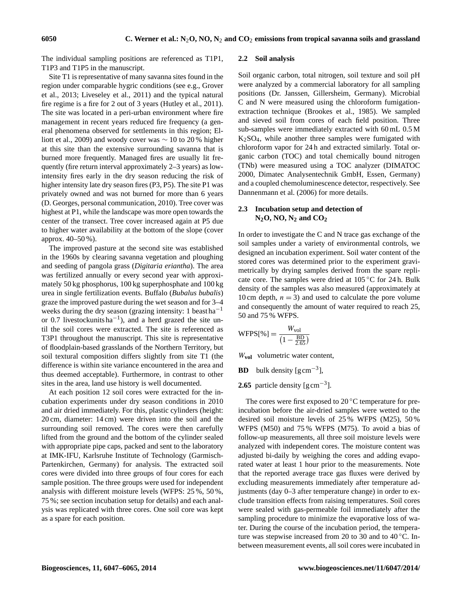The individual sampling positions are referenced as T1P1, T1P3 and T1P5 in the manuscript.

Site T1 is representative of many savanna sites found in the region under comparable hygric conditions (see e.g., Grover et al., 2013; Liveseley et al., 2011) and the typical natural fire regime is a fire for 2 out of 3 years (Hutley et al., 2011). The site was located in a peri-urban environment where fire management in recent years reduced fire frequency (a general phenomena observed for settlements in this region; Elliott et al., 2009) and woody cover was  $\sim$  10 to 20 % higher at this site than the extensive surrounding savanna that is burned more frequently. Managed fires are usually lit frequently (fire return interval approximately 2–3 years) as lowintensity fires early in the dry season reducing the risk of higher intensity late dry season fires (P3, P5). The site P1 was privately owned and was not burned for more than 6 years (D. Georges, personal communication, 2010). Tree cover was highest at P1, while the landscape was more open towards the center of the transect. Tree cover increased again at P5 due to higher water availability at the bottom of the slope (cover approx. 40–50 %).

The improved pasture at the second site was established in the 1960s by clearing savanna vegetation and ploughing and seeding of pangola grass (*Digitaria eriantha*). The area was fertilized annually or every second year with approximately 50 kg phosphorus, 100 kg superphosphate and 100 kg urea in single fertilization events. Buffalo (*Bubalus bubalis*) graze the improved pasture during the wet season and for 3–4 weeks during the dry season (grazing intensity: 1 beast ha<sup> $-1$ </sup> or 0.7 livestockunits  $ha^{-1}$ ), and a herd grazed the site until the soil cores were extracted. The site is referenced as T3P1 throughout the manuscript. This site is representative of floodplain-based grasslands of the Northern Territory, but soil textural composition differs slightly from site T1 (the difference is within site variance encountered in the area and thus deemed acceptable). Furthermore, in contrast to other sites in the area, land use history is well documented.

At each position 12 soil cores were extracted for the incubation experiments under dry season conditions in 2010 and air dried immediately. For this, plastic cylinders (height: 20 cm, diameter: 14 cm) were driven into the soil and the surrounding soil removed. The cores were then carefully lifted from the ground and the bottom of the cylinder sealed with appropriate pipe caps, packed and sent to the laboratory at IMK-IFU, Karlsruhe Institute of Technology (Garmisch-Partenkirchen, Germany) for analysis. The extracted soil cores were divided into three groups of four cores for each sample position. The three groups were used for independent analysis with different moisture levels (WFPS: 25 %, 50 %, 75 %; see section incubation setup for details) and each analysis was replicated with three cores. One soil core was kept as a spare for each position.

#### **2.2 Soil analysis**

Soil organic carbon, total nitrogen, soil texture and soil pH were analyzed by a commercial laboratory for all sampling positions (Dr. Janssen, Gillersheim, Germany). Microbial C and N were measured using the chloroform fumigationextraction technique (Brookes et al., 1985). We sampled and sieved soil from cores of each field position. Three sub-samples were immediately extracted with 60 mL 0.5 M K2SO4, while another three samples were fumigated with chloroform vapor for 24 h and extracted similarly. Total organic carbon (TOC) and total chemically bound nitrogen (TNb) were measured using a TOC analyzer (DIMATOC 2000, Dimatec Analysentechnik GmbH, Essen, Germany) and a coupled chemoluminescence detector, respectively. See Dannenmann et al. (2006) for more details.

# **2.3 Incubation setup and detection of N2O, NO, N<sup>2</sup> and CO<sup>2</sup>**

In order to investigate the C and N trace gas exchange of the soil samples under a variety of environmental controls, we designed an incubation experiment. Soil water content of the stored cores was determined prior to the experiment gravimetrically by drying samples derived from the spare replicate core. The samples were dried at 105 ◦C for 24 h. Bulk density of the samples was also measured (approximately at 10 cm depth,  $n = 3$ ) and used to calculate the pore volume and consequently the amount of water required to reach 25, 50 and 75 % WFPS.

$$
\text{WFPS}[\%] = \frac{W_{\text{vol}}}{\left(1 - \frac{\text{BD}}{2.65}\right)}
$$

W**vol** volumetric water content,

**BD** bulk density  $\text{[g cm}^{-3}\text{]}$ ,

**2.65** particle density  $\text{[g cm}^{-3}\text{]}$ .

The cores were first exposed to  $20^{\circ}$ C temperature for preincubation before the air-dried samples were wetted to the desired soil moisture levels of 25 % WFPS (M25), 50 % WFPS (M50) and 75 % WFPS (M75). To avoid a bias of follow-up measurements, all three soil moisture levels were analyzed with independent cores. The moisture content was adjusted bi-daily by weighing the cores and adding evaporated water at least 1 hour prior to the measurements. Note that the reported average trace gas fluxes were derived by excluding measurements immediately after temperature adjustments (day 0–3 after temperature change) in order to exclude transition effects from raising temperatures. Soil cores were sealed with gas-permeable foil immediately after the sampling procedure to minimize the evaporative loss of water. During the course of the incubation period, the temperature was stepwise increased from 20 to 30 and to  $40^{\circ}$ C. Inbetween measurement events, all soil cores were incubated in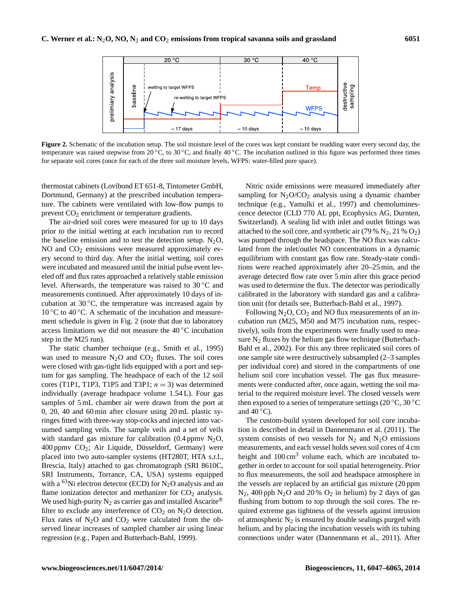

**Figure 2.** Schematic of the incubation setup. The soil moisture level of the cores was kept constant be readding water every second day, the temperature was raised stepwise from 20  $^{\circ}$ C, to 30  $^{\circ}$ C, and finally 40  $^{\circ}$ C. The incubation outlined in this figure was performed three times for separate soil cores (once for each of the three soil moisture levels, WFPS: water-filled pore space).

thermostat cabinets (Lovibond ET 651-8, Tintometer GmbH, Dortmund, Germany) at the prescribed incubation temperature. The cabinets were ventilated with low-flow pumps to prevent  $CO<sub>2</sub>$  enrichment or temperature gradients.

The air-dried soil cores were measured for up to 10 days prior to the initial wetting at each incubation run to record the baseline emission and to test the detection setup.  $N_2O$ , NO and  $CO<sub>2</sub>$  emissions were measured approximately every second to third day. After the initial wetting, soil cores were incubated and measured until the initial pulse event leveled off and flux rates approached a relatively stable emission level. Afterwards, the temperature was raised to 30 ◦C and measurements continued. After approximately 10 days of incubation at  $30^{\circ}$ C, the temperature was increased again by 10 ◦C to 40 ◦C. A schematic of the incubation and measurement schedule is given in Fig. 2 (note that due to laboratory access limitations we did not measure the 40 ◦C incubation step in the M25 run).

The static chamber technique (e.g., Smith et al., 1995) was used to measure  $N_2O$  and  $CO_2$  fluxes. The soil cores were closed with gas-tight lids equipped with a port and septum for gas sampling. The headspace of each of the 12 soil cores (T1P1, T1P3, T1P5 and T3P1;  $n = 3$ ) was determined individually (average headspace volume 1.54 L). Four gas samples of 5 mL chamber air were drawn from the port at 0, 20, 40 and 60 min after closure using 20 mL plastic syringes fitted with three-way stop-cocks and injected into vacuumed sampling veils. The sample veils and a set of veils with standard gas mixture for calibration  $(0.4 \text{ ppmv N}_2O)$ ,  $400$  ppmv  $CO<sub>2</sub>$ ; Air Liquide, Düsseldorf, Germany) were placed into two auto-sampler systems (HT280T, HTA s.r.l., Brescia, Italy) attached to gas chromatograph (SRI 8610C, SRI Instruments, Torrance, CA, USA) systems equipped with a <sup>63</sup>Ni electron detector (ECD) for N<sub>2</sub>O analysis and an flame ionization detector and methanizer for  $CO<sub>2</sub>$  analysis. We used high-purity  $N_2$  as carrier gas and installed Ascarite<sup>®</sup> filter to exclude any interference of  $CO<sub>2</sub>$  on N<sub>2</sub>O detection. Flux rates of  $N_2O$  and  $CO_2$  were calculated from the observed linear increases of sampled chamber air using linear regression (e.g., Papen and Butterbach-Bahl, 1999).

Nitric oxide emissions were measured immediately after sampling for  $N_2O/CO_2$  analysis using a dynamic chamber technique (e.g., Yamulki et al., 1997) and chemoluminescence detector (CLD 770 AL ppt, Ecophysics AG, Durnten, Switzerland). A sealing lid with inlet and outlet fittings was attached to the soil core, and synthetic air (79 %  $N_2$ , 21 %  $O_2$ ) was pumped through the headspace. The NO flux was calculated from the inlet/outlet NO concentrations in a dynamic equilibrium with constant gas flow rate. Steady-state conditions were reached approximately after 20–25 min, and the average detected flow rate over 5 min after this grace period was used to determine the flux. The detector was periodically calibrated in the laboratory with standard gas and a calibration unit (for details see, Butterbach-Bahl et al., 1997).

Following  $N_2O$ ,  $CO_2$  and NO flux measurements of an incubation run (M25, M50 and M75 incubation runs, respectively), soils from the experiments were finally used to measure  $N_2$  fluxes by the helium gas flow technique (Butterbach-Bahl et al., 2002). For this any three replicated soil cores of one sample site were destructively subsampled (2–3 samples per individual core) and stored in the compartments of one helium soil core incubation vessel. The gas flux measurements were conducted after, once again, wetting the soil material to the required moisture level. The closed vessels were then exposed to a series of temperature settings (20  $\rm{^{\circ}C}$ , 30  $\rm{^{\circ}C}$ and  $40^{\circ}$ C).

The custom-build system developed for soil core incubation is described in detail in Dannenmann et al. (2011). The system consists of two vessels for  $N_2$  and  $N_2O$  emissions measurements, and each vessel holds seven soil cores of 4 cm height and  $100 \text{ cm}^3$  volume each, which are incubated together in order to account for soil spatial heterogeneity. Prior to flux measurements, the soil and headspace atmosphere in the vessels are replaced by an artificial gas mixture (20 ppm  $N_2$ , 400 ppb  $N_2$ O and 20 % O<sub>2</sub> in helium) by 2 days of gas flushing from bottom to top through the soil cores. The required extreme gas tightness of the vessels against intrusion of atmospheric  $N_2$  is ensured by double sealings purged with helium, and by placing the incubation vessels with its tubing connections under water (Dannenmann et al., 2011). After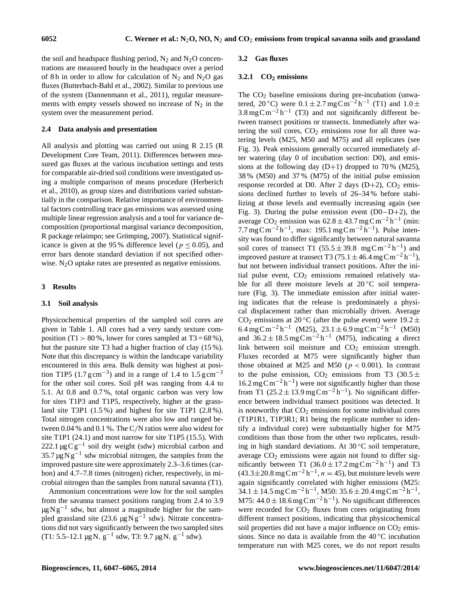the soil and headspace flushing period,  $N_2$  and  $N_2O$  concentrations are measured hourly in the headspace over a period of 8 h in order to allow for calculation of  $N_2$  and  $N_2O$  gas fluxes (Butterbach-Bahl et al., 2002). Similar to previous use of the system (Dannenmann et al., 2011), regular measurements with empty vessels showed no increase of  $N_2$  in the system over the measurement period.

# **2.4 Data analysis and presentation**

All analysis and plotting was carried out using R 2.15 (R Development Core Team, 2011). Differences between measured gas fluxes at the various incubation settings and tests for comparable air-dried soil conditions were investigated using a multiple comparison of means procedure (Herberich et al., 2010), as group sizes and distributions varied substantially in the comparison. Relative importance of environmental factors controlling trace gas emissions was assessed using multiple linear regression analysis and a tool for variance decomposition (proportional marginal variance decomposition, R package relaimpo; see Grömping, 2007). Statistical significance is given at the 95 % difference level ( $p \le 0.05$ ), and error bars denote standard deviation if not specified otherwise.  $N<sub>2</sub>O$  uptake rates are presented as negative emissions.

#### **3 Results**

#### **3.1 Soil analysis**

Physicochemical properties of the sampled soil cores are given in Table 1. All cores had a very sandy texture composition (T1 > 80 %, lower for cores sampled at T3 =  $68\%$ ), but the pasture site T3 had a higher fraction of clay (15 %). Note that this discrepancy is within the landscape variability encountered in this area. Bulk density was highest at position T1P5 (1.7  $\text{g cm}^{-3}$ ) and in a range of 1.4 to 1.5  $\text{g cm}^{-3}$ for the other soil cores. Soil pH was ranging from 4.4 to 5.1. At 0.8 and 0.7 %, total organic carbon was very low for sites T1P3 and T1P5, respectively, higher at the grassland site T3P1 (1.5 %) and highest for site T1P1 (2.8 %). Total nitrogen concentrations were also low and ranged between 0.04 % and 0.1 %. The C/N ratios were also widest for site T1P1 (24.1) and most narrow for site T1P5 (15.5). With 222.1  $\mu$ g Cg<sup>-1</sup> soil dry weight (sdw) microbial carbon and  $35.7 \,\mu g\,\text{N}\,\text{g}^{-1}$  sdw microbial nitrogen, the samples from the improved pasture site were approximately 2.3–3.6 times (carbon) and 4.7–7.8 times (nitrogen) richer, respectively, in microbial nitrogen than the samples from natural savanna (T1).

Ammonium concentrations were low for the soil samples from the savanna transect positions ranging from 2.4 to 3.9  $\mu$ g N g<sup>-1</sup> sdw, but almost a magnitude higher for the sampled grassland site (23.6  $\mu$ g Ng<sup>-1</sup> sdw). Nitrate concentrations did not vary significantly between the two sampled sites  $(T1: 5.5-12.1 \mu g N, g^{-1} s dw, T3: 9.7 \mu g N, g^{-1} s dw).$ 

#### **3.2 Gas fluxes**

# **3.2.1 CO<sup>2</sup> emissions**

The  $CO<sub>2</sub>$  baseline emissions during pre-incubation (unwatered, 20 °C) were  $0.1 \pm 2.7 \,\text{mgC m}^{-2} \,\text{h}^{-1}$  (T1) and  $1.0 \pm$  $3.8 \text{ mgC m}^{-2} \text{h}^{-1}$  (T3) and not significantly different between transect positions or transects. Immediately after watering the soil cores,  $CO<sub>2</sub>$  emissions rose for all three watering levels (M25, M50 and M75) and all replicates (see Fig. 3). Peak emissions generally occurred immediately after watering (day 0 of incubation section: D0), and emissions at the following day  $(D+1)$  dropped to 70%  $(M25)$ , 38 % (M50) and 37 % (M75) of the initial pulse emission response recorded at D0. After 2 days  $(D+2)$ , CO<sub>2</sub> emissions declined further to levels of 26–34 % before stabilizing at those levels and eventually increasing again (see Fig. 3). During the pulse emission event (D0−D+2), the average  $CO_2$  emission was  $62.8 \pm 43.7$  mg C m<sup>-2</sup> h<sup>-1</sup> (min: 7.7 mg C m<sup>-2</sup> h<sup>-1</sup>, max: 195.1 mg C m<sup>-2</sup> h<sup>-1</sup>). Pulse intensity was found to differ significantly between natural savanna soil cores of transect T1  $(55.5 \pm 39.8 \text{ mgC m}^{-2} \text{h}^{-1})$  and improved pasture at transect T3 (75.1  $\pm$  46.4 mg C m<sup>-2</sup> h<sup>-1</sup>), but not between individual transect positions. After the initial pulse event,  $CO<sub>2</sub>$  emissions remained relatively stable for all three moisture levels at  $20^{\circ}$ C soil temperature (Fig. 3). The immediate emission after initial watering indicates that the release is predominately a physical displacement rather than microbially driven. Average CO<sub>2</sub> emissions at 20 °C (after the pulse event) were 19.2  $\pm$  $6.4 \text{ mg}\text{C}\text{m}^{-2}\text{h}^{-1}$  (M25),  $23.1 \pm 6.9 \text{ mg}\text{C}\text{m}^{-2}\text{h}^{-1}$  (M50) and  $36.2 \pm 18.5$  mg C m<sup>-2</sup> h<sup>-1</sup> (M75), indicating a direct link between soil moisture and  $CO<sub>2</sub>$  emission strength. Fluxes recorded at M75 were significantly higher than those obtained at M25 and M50 ( $p < 0.001$ ). In contrast to the pulse emission, CO<sub>2</sub> emissions from T3 (30.5  $\pm$  $16.2 \text{ mgC m}^{-2} \text{h}^{-1}$ ) were not significantly higher than those from T1 (25.2  $\pm$  13.9 mg Cm<sup>-2</sup>h<sup>-1</sup>). No significant difference between individual transect positions was detected. It is noteworthy that  $CO<sub>2</sub>$  emissions for some individual cores (T1P1R1, T1P3R1; R1 being the replicate number to identify a individual core) were substantially higher for M75 conditions than those from the other two replicates, resulting in high standard deviations. At  $30^{\circ}$ C soil temperature, average  $CO<sub>2</sub>$  emissions were again not found to differ significantly between T1  $(36.0 \pm 17.2 \text{ mgC m}^{-2} \text{ h}^{-1})$  and T3  $(43.3 \pm 20.8 \text{ mg C m}^{-2} \text{h}^{-1}, n = 45)$ , but moisture levels were again significantly correlated with higher emissions (M25:  $34.1 \pm 14.5$  mg Cm<sup>-2</sup>h<sup>-1</sup>, M50:  $35.6 \pm 20.4$  mg Cm<sup>-2</sup>h<sup>-1</sup>, M75:  $44.0 \pm 18.6$  mg C m<sup>-2</sup>h<sup>-1</sup>). No significant differences were recorded for  $CO<sub>2</sub>$  fluxes from cores originating from different transect positions, indicating that physicochemical soil properties did not have a major influence on  $CO<sub>2</sub>$  emissions. Since no data is available from the  $40\degree C$  incubation temperature run with M25 cores, we do not report results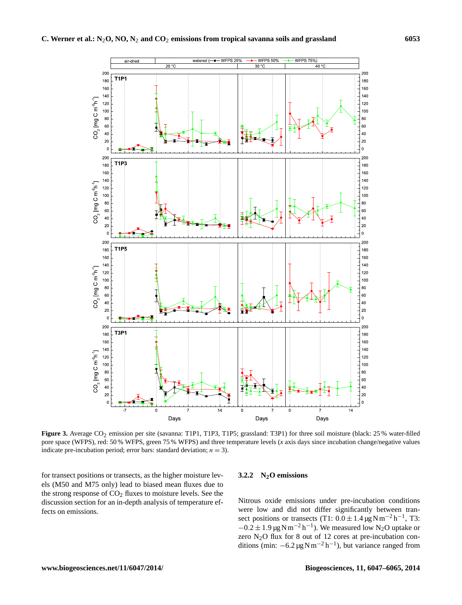

Figure 3. Average CO<sub>2</sub> emission per site (savanna: T1P1, T1P3, T1P5; grassland: T3P1) for three soil moisture (black: 25 % water-filled pore space (WFPS), red: 50 % WFPS, green 75 % WFPS) and three temperature levels (*x* axis days since incubation change/negative values indicate pre-incubation period; error bars: standard deviation;  $n = 3$ ).

for transect positions or transects, as the higher moisture levels (M50 and M75 only) lead to biased mean fluxes due to the strong response of  $CO<sub>2</sub>$  fluxes to moisture levels. See the discussion section for an in-depth analysis of temperature effects on emissions.

# **3.2.2 N2O emissions**

Nitrous oxide emissions under pre-incubation conditions were low and did not differ significantly between transect positions or transects (T1:  $0.0 \pm 1.4 \,\mathrm{\mu g\,Nm^{-2}\,h^{-1}}$ , T3:  $-0.2 \pm 1.9 \,\text{\ensuremath{\mu}g\,N\,m^{-2}\,h^{-1}}$ ). We measured low N<sub>2</sub>O uptake or zero N2O flux for 8 out of 12 cores at pre-incubation conditions (min:  $-6.2 \mu g N m^{-2} h^{-1}$ ), but variance ranged from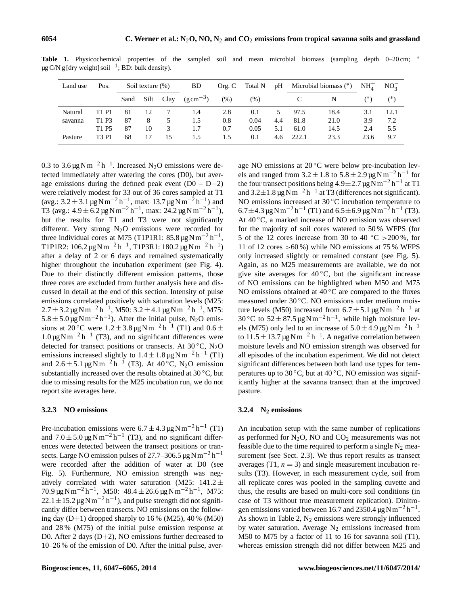| Land use | Pos.                          | Soil texture $(\%)$ |      |      | BD                    | Org. C | Total N | pH  | Microbial biomass $(*)$ |      | NH <sub>4</sub> | $NO_2^-$ |
|----------|-------------------------------|---------------------|------|------|-----------------------|--------|---------|-----|-------------------------|------|-----------------|----------|
|          |                               | Sand                | Silt | Clay | $(g \text{ cm}^{-3})$ | (% )   | (% )    |     |                         | N    | $(*)$           |          |
| Natural  | T1 P1                         | 81                  | 12   |      | 1.4                   | 2.8    | 0.1     |     | 97.5                    | 18.4 | 3.1             | 12.1     |
| savanna  | T1 P3                         | 87                  | 8    | 5    | 1.5                   | 0.8    | 0.04    | 4.4 | 81.8                    | 21.0 | 3.9             | 7.2      |
|          | T1 P5                         | 87                  | 10   | 3    | 1.7                   | 0.7    | 0.05    | 5.1 | 61.0                    | 14.5 | 2.4             | 5.5      |
| Pasture  | T <sub>3</sub> P <sub>1</sub> | 68                  | 17   | 15   | 1.5                   | 1.5    | 0.1     | 4.6 | 222.1                   | 23.3 | 23.6            | 9.7      |

Table 1. Physicochemical properties of the sampled soil and mean microbial biomass (sampling depth 0–20 cm; <sup>∗</sup> µg C/N g [dry weight] soil<sup>-1</sup>; BD: bulk density).

0.3 to  $3.6 \,\mathrm{\upmu g\,Nm^{-2}\,h^{-1}}$ . Increased N<sub>2</sub>O emissions were detected immediately after watering the cores (D0), but average emissions during the defined peak event  $(D0 - D + 2)$ were relatively modest for 33 out of 36 cores sampled at T1  $(\text{avg.: } 3.2 \pm 3.1 \,\mu\text{g} \,\text{N} \,\text{m}^{-2} \,\text{h}^{-1}, \text{max: } 13.7 \,\mu\text{g} \,\text{N} \,\text{m}^{-2} \,\text{h}^{-1})$  and T3 (avg.:  $4.9 \pm 6.2 \,\mu g \,\mathrm{N m^{-2} h^{-1}}$ , max:  $24.2 \,\mu g \,\mathrm{N m^{-2} h^{-1}}$ ), but the results for T1 and T3 were not significantly different. Very strong  $N_2O$  emissions were recorded for three individual cores at M75 (T1P1R1:  $85.8 \,\mathrm{\mu g N m^{-2} h^{-1}}$ , T1P1R2:  $106.2 \,\mathrm{\upmu g\,Nm^{-2}\,h^{-1}}$ , T1P3R1:  $180.2 \,\mathrm{\upmu g\,Nm^{-2}\,h^{-1}}$ ) after a delay of 2 or 6 days and remained systematically higher throughout the incubation experiment (see Fig. 4). Due to their distinctly different emission patterns, those three cores are excluded from further analysis here and discussed in detail at the end of this section. Intensity of pulse emissions correlated positively with saturation levels (M25:  $2.7 \pm 3.2 \,\mathrm{\mu g\,Nm^{-2}\,h^{-1}}$ , M50:  $3.2 \pm 4.1 \,\mathrm{\mu g\,Nm^{-2}\,h^{-1}}$ , M75:  $5.8 \pm 5.0 \,\text{\mu g N m}^{-2} \text{h}^{-1}$ ). After the initial pulse, N<sub>2</sub>O emissions at 20 °C were  $1.2 \pm 3.8 \,\mu g \,\text{N m}^{-2} \,\text{h}^{-1}$  (T1) and  $0.6 \pm$ 1.0 μg N m<sup>-2</sup> h<sup>-1</sup> (T3), and no significant differences were detected for transect positions or transects. At  $30^{\circ}$ C, N<sub>2</sub>O emissions increased slightly to  $1.4 \pm 1.8 \,\mu g N m^{-2} h^{-1}$  (T1) and  $2.6 \pm 5.1 \,\text{\mu g N m}^{-2} \text{h}^{-1}$  (T3). At 40 °C, N<sub>2</sub>O emission substantially increased over the results obtained at  $30^{\circ}$ C, but due to missing results for the M25 incubation run, we do not report site averages here.

# **3.2.3 NO emissions**

Pre-incubation emissions were  $6.7 \pm 4.3 \,\mathrm{\mu g}\,\mathrm{N}\,\mathrm{m}^{-2}\,\mathrm{h}^{-1}$  (T1) and  $7.0 \pm 5.0 \,\text{\mu g N m}^{-2} \text{h}^{-1}$  (T3), and no significant differences were detected between the transect positions or transects. Large NO emission pulses of 27.7–306.5  $\mu$ g N m<sup>-2</sup> h<sup>-1</sup> were recorded after the addition of water at D0 (see Fig. 5). Furthermore, NO emission strength was negatively correlated with water saturation (M25:  $141.2 \pm$ 70.9  $\mu$ g N m<sup>-2</sup> h<sup>-1</sup>, M50: 48.4 ± 26.6  $\mu$ g N m<sup>-2</sup> h<sup>-1</sup>, M75:  $22.1 \pm 15.2 \,\mathrm{\mu g\,N\,m^{-2}\,h^{-1}}$ , and pulse strength did not significantly differ between transects. NO emissions on the following day  $(D+1)$  dropped sharply to 16% (M25), 40% (M50) and 28 % (M75) of the initial pulse emission response at D0. After 2 days (D+2), NO emissions further decreased to 10–26 % of the emission of D0. After the initial pulse, average NO emissions at 20 ◦C were below pre-incubation levels and ranged from  $3.2 \pm 1.8$  to  $5.8 \pm 2.9$  µg N m<sup>-2</sup> h<sup>-1</sup> for the four transect positions being  $4.9 \pm 2.7 \,\mu$ g N m<sup>-2</sup> h<sup>-1</sup> at T1 and  $3.2 \pm 1.8 \,\mathrm{\upmu g\,Nm^{-2}\,h^{-1}}$  at T3 (differences not significant). NO emissions increased at 30 ℃ incubation temperature to 6.7±4.3 µg N m<sup>-2</sup> h<sup>-1</sup> (T1) and 6.5±6.9 µg N m<sup>-2</sup> h<sup>-1</sup> (T3). At 40 ℃, a marked increase of NO emission was observed for the majority of soil cores watered to 50 % WFPS (for 5 of the 12 cores increase from 30 to 40  $°C > 200\%$ , for 11 of 12 cores  $>60\%$ ) while NO emissions at 75% WFPS only increased slightly or remained constant (see Fig. 5). Again, as no M25 measurements are available, we do not give site averages for  $40^{\circ}$ C, but the significant increase of NO emissions can be highlighted when M50 and M75 NO emissions obtained at  $40^{\circ}$ C are compared to the fluxes measured under 30 ◦C. NO emissions under medium moisture levels (M50) increased from  $6.7 \pm 5.1 \,\mathrm{\upmu g\,Nm^{-2}\,h^{-1}}$  at 30 °C to  $52 \pm 87.5 \,\text{\mu g N m}^{-2} \,\text{h}^{-1}$ , while high moisture levels (M75) only led to an increase of  $5.0 \pm 4.9 \,\text{\mu g N m}^{-2} \,\text{h}^{-1}$ to  $11.5 \pm 13.7 \,\text{\mu g N m}^{-2} \text{h}^{-1}$ . A negative correlation between moisture levels and NO emission strength was observed for all episodes of the incubation experiment. We did not detect significant differences between both land use types for temperatures up to 30  $\degree$ C, but at 40  $\degree$ C, NO emission was significantly higher at the savanna transect than at the improved pasture.

# **3.2.4 N<sup>2</sup> emissions**

An incubation setup with the same number of replications as performed for  $N_2O$ , NO and  $CO_2$  measurements was not feasible due to the time required to perform a single  $N_2$  measurement (see Sect. 2.3). We thus report results as transect averages (T1,  $n = 3$ ) and single measurement incubation results (T3). However, in each measurement cycle, soil from all replicate cores was pooled in the sampling cuvette and thus, the results are based on multi-core soil conditions (in case of T3 without true measurement replication). Dinitrogen emissions varied between 16.7 and 2350.4  $\mu$ g N m<sup>-2</sup> h<sup>-1</sup>. As shown in Table 2,  $N_2$  emissions were strongly influenced by water saturation. Average  $N_2$  emissions increased from M50 to M75 by a factor of 11 to 16 for savanna soil (T1), whereas emission strength did not differ between M25 and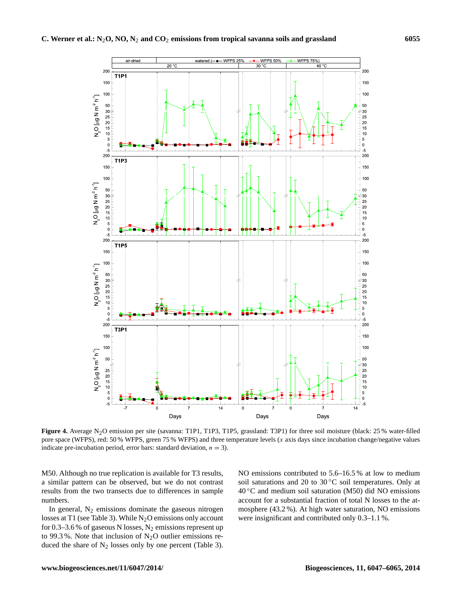

Figure 4. Average N<sub>2</sub>O emission per site (savanna: T1P1, T1P3, T1P5, grassland: T3P1) for three soil moisture (black: 25 % water-filled pore space (WFPS), red: 50 % WFPS, green 75 % WFPS) and three temperature levels  $(x \text{ axis days since incubation change/negative values})$ indicate pre-incubation period, error bars: standard deviation,  $n = 3$ ).

M50. Although no true replication is available for T3 results, a similar pattern can be observed, but we do not contrast results from the two transects due to differences in sample numbers.

In general,  $N_2$  emissions dominate the gaseous nitrogen losses at T1 (see Table 3). While  $N_2O$  emissions only account for 0.3–3.6 % of gaseous N losses,  $N_2$  emissions represent up to 99.3%. Note that inclusion of  $N_2O$  outlier emissions reduced the share of  $N_2$  losses only by one percent (Table 3). NO emissions contributed to 5.6–16.5 % at low to medium soil saturations and 20 to  $30^{\circ}$ C soil temperatures. Only at  $40^{\circ}$ C and medium soil saturation (M50) did NO emissions account for a substantial fraction of total N losses to the atmosphere (43.2 %). At high water saturation, NO emissions were insignificant and contributed only 0.3–1.1 %.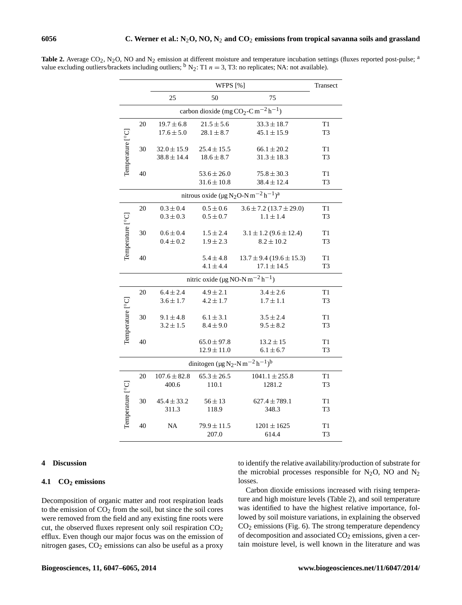|                                                                         |                                                                                           |                  | Transect                                                                       |                                  |                |  |  |  |  |  |  |  |
|-------------------------------------------------------------------------|-------------------------------------------------------------------------------------------|------------------|--------------------------------------------------------------------------------|----------------------------------|----------------|--|--|--|--|--|--|--|
|                                                                         |                                                                                           | 25               | 50                                                                             | 75                               |                |  |  |  |  |  |  |  |
| carbon dioxide (mg CO <sub>2</sub> -C m <sup>-2</sup> h <sup>-1</sup> ) |                                                                                           |                  |                                                                                |                                  |                |  |  |  |  |  |  |  |
|                                                                         | 20                                                                                        | $19.7 \pm 6.8$   | $21.5 \pm 5.6$                                                                 | $33.3 \pm 18.7$                  | T1             |  |  |  |  |  |  |  |
|                                                                         |                                                                                           | $17.6 \pm 5.0$   | $28.1 \pm 8.7$                                                                 | $45.1 \pm 15.9$                  | T <sub>3</sub> |  |  |  |  |  |  |  |
|                                                                         | 30                                                                                        | $32.0 \pm 15.9$  | $25.4 \pm 15.5$                                                                | $66.1 \pm 20.2$                  | T1             |  |  |  |  |  |  |  |
| Temperature [°C]                                                        |                                                                                           | $38.8 \pm 14.4$  | $18.6 \pm 8.7$                                                                 | $31.3 \pm 18.3$                  | T3             |  |  |  |  |  |  |  |
|                                                                         | 40                                                                                        |                  | $53.6 \pm 26.0$                                                                | $75.8 \pm 30.3$                  | T1             |  |  |  |  |  |  |  |
|                                                                         |                                                                                           |                  | $31.6 \pm 10.8$                                                                | $38.4 \pm 12.4$                  | T3             |  |  |  |  |  |  |  |
|                                                                         | nitrous oxide ( $\mu$ g N <sub>2</sub> O-N m <sup>-2</sup> h <sup>-1</sup> ) <sup>a</sup> |                  |                                                                                |                                  |                |  |  |  |  |  |  |  |
|                                                                         | 20                                                                                        | $0.3 \pm 0.4$    | $0.5 \pm 0.6$                                                                  | $3.6 \pm 7.2$ (13.7 $\pm$ 29.0)  | T1             |  |  |  |  |  |  |  |
|                                                                         |                                                                                           | $0.3 \pm 0.3$    | $0.5 \pm 0.7$                                                                  | $1.1 \pm 1.4$                    | T3             |  |  |  |  |  |  |  |
|                                                                         | 30                                                                                        | $0.6 \pm 0.4$    | $1.5 \pm 2.4$                                                                  | $3.1 \pm 1.2$ (9.6 $\pm$ 12.4)   | T1             |  |  |  |  |  |  |  |
| Temperature [°C]                                                        |                                                                                           | $0.4 \pm 0.2$    | $1.9 \pm 2.3$                                                                  | $8.2 \pm 10.2$                   | T3             |  |  |  |  |  |  |  |
|                                                                         | 40                                                                                        |                  | $5.4 \pm 4.8$                                                                  | $13.7 \pm 9.4$ (19.6 $\pm$ 15.3) | T1             |  |  |  |  |  |  |  |
|                                                                         |                                                                                           |                  | $4.1 \pm 4.4$                                                                  | $17.1 \pm 14.5$                  | T3             |  |  |  |  |  |  |  |
| nitric oxide ( $\mu$ g NO-N m <sup>-2</sup> h <sup>-1</sup> )           |                                                                                           |                  |                                                                                |                                  |                |  |  |  |  |  |  |  |
| Temperature [°C]                                                        | 20                                                                                        | $6.4 \pm 2.4$    | $4.9 \pm 2.1$                                                                  | $3.4 \pm 2.6$                    | T1             |  |  |  |  |  |  |  |
|                                                                         |                                                                                           | $3.6 \pm 1.7$    | $4.2 \pm 1.7$                                                                  | $1.7 \pm 1.1$                    | T3             |  |  |  |  |  |  |  |
|                                                                         | 30                                                                                        | $9.1 \pm 4.8$    | $6.1 \pm 3.1$                                                                  | $3.5 \pm 2.4$                    | T1             |  |  |  |  |  |  |  |
|                                                                         |                                                                                           | $3.2 \pm 1.5$    | $8.4 \pm 9.0$                                                                  | $9.5 \pm 8.2$                    | T3             |  |  |  |  |  |  |  |
|                                                                         | 40                                                                                        |                  | $65.0 \pm 97.8$                                                                | $13.2 \pm 15$                    | T1             |  |  |  |  |  |  |  |
|                                                                         |                                                                                           |                  | $12.9 \pm 11.0$                                                                | $6.1 \pm 6.7$                    | T3             |  |  |  |  |  |  |  |
|                                                                         |                                                                                           |                  | dinitogen (µg N <sub>2</sub> -N m <sup>-2</sup> h <sup>-1</sup> ) <sup>b</sup> |                                  |                |  |  |  |  |  |  |  |
|                                                                         | 20                                                                                        | $107.6 \pm 82.8$ | $65.3 \pm 26.5$                                                                | $1041.1 \pm 255.8$               | T1             |  |  |  |  |  |  |  |
|                                                                         |                                                                                           | 400.6            | 110.1                                                                          | 1281.2                           | T3             |  |  |  |  |  |  |  |
|                                                                         | 30                                                                                        | $45.4 \pm 33.2$  | $56 \pm 13$                                                                    | $627.4 \pm 789.1$                | T1             |  |  |  |  |  |  |  |
|                                                                         |                                                                                           | 311.3            | 118.9                                                                          | 348.3                            | T3             |  |  |  |  |  |  |  |
| Temperature [°C]                                                        | 40                                                                                        | NA               | $79.9 \pm 11.5$                                                                | $1201 \pm 1625$                  | T1             |  |  |  |  |  |  |  |
|                                                                         |                                                                                           |                  | 207.0                                                                          | 614.4                            | T3             |  |  |  |  |  |  |  |

Table 2. Average CO<sub>2</sub>, N<sub>2</sub>O, NO and N<sub>2</sub> emission at different moisture and temperature incubation settings (fluxes reported post-pulse; <sup>a</sup> value excluding outliers/brackets including outliers;  $b_{N_2}$ : T1  $n = 3$ , T3: no replicates; NA: not available).

# **4 Discussion**

# **4.1 CO<sup>2</sup> emissions**

Decomposition of organic matter and root respiration leads to the emission of  $CO<sub>2</sub>$  from the soil, but since the soil cores were removed from the field and any existing fine roots were cut, the observed fluxes represent only soil respiration  $CO<sub>2</sub>$ efflux. Even though our major focus was on the emission of nitrogen gases,  $CO<sub>2</sub>$  emissions can also be useful as a proxy

to identify the relative availability/production of substrate for the microbial processes responsible for  $N_2O$ , NO and  $N_2$ losses.

Carbon dioxide emissions increased with rising temperature and high moisture levels (Table 2), and soil temperature was identified to have the highest relative importance, followed by soil moisture variations, in explaining the observed  $CO<sub>2</sub>$  emissions (Fig. 6). The strong temperature dependency of decomposition and associated  $CO<sub>2</sub>$  emissions, given a certain moisture level, is well known in the literature and was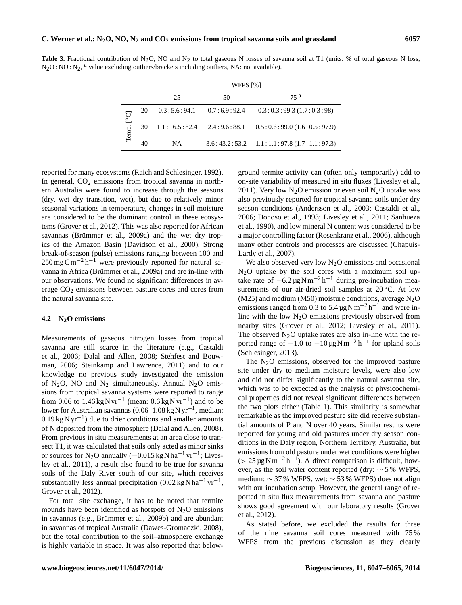**Table 3.** Fractional contribution of N<sub>2</sub>O, NO and N<sub>2</sub> to total gaseous N losses of savanna soil at T1 (units: % of total gaseous N loss,  $N_2O$ : NO:  $N_2$ , <sup>a</sup> value excluding outliers/brackets including outliers, NA: not available).

|                 |    | WFPS [%]      |              |                                                  |  |  |  |  |  |  |
|-----------------|----|---------------|--------------|--------------------------------------------------|--|--|--|--|--|--|
|                 |    | 25            | 50           | 75 a                                             |  |  |  |  |  |  |
| ت<br>ا<br>Temp. | 20 | 0.3:5.6:94.1  | 0.7:6.9:92.4 | 0.3:0.3:99.3(1.7:0.3:98)                         |  |  |  |  |  |  |
|                 | 30 | 1.1:16.5:82.4 | 2.4:9.6:88.1 | 0.5:0.6:99.0(1.6:0.5:97.9)                       |  |  |  |  |  |  |
|                 | 40 | <b>NA</b>     |              | $3.6:43.2:53.2 \quad 1.1:1.1:97.8(1.7:1.1:97.3)$ |  |  |  |  |  |  |

reported for many ecosystems (Raich and Schlesinger, 1992). In general,  $CO<sub>2</sub>$  emissions from tropical savanna in northern Australia were found to increase through the seasons (dry, wet–dry transition, wet), but due to relatively minor seasonal variations in temperature, changes in soil moisture are considered to be the dominant control in these ecosystems (Grover et al., 2012). This was also reported for African savannas (Brümmer et al., 2009a) and the wet–dry tropics of the Amazon Basin (Davidson et al., 2000). Strong break-of-season (pulse) emissions ranging between 100 and  $250 \,\text{mg}\,\text{C}\,\text{m}^{-2}\,\text{h}^{-1}$  were previously reported for natural savanna in Africa (Brümmer et al., 2009a) and are in-line with our observations. We found no significant differences in average CO<sub>2</sub> emissions between pasture cores and cores from the natural savanna site.

# **4.2 N2O emissions**

Measurements of gaseous nitrogen losses from tropical savanna are still scarce in the literature (e.g., Castaldi et al., 2006; Dalal and Allen, 2008; Stehfest and Bouwman, 2006; Steinkamp and Lawrence, 2011) and to our knowledge no previous study investigated the emission of N<sub>2</sub>O, NO and N<sub>2</sub> simultaneously. Annual N<sub>2</sub>O emissions from tropical savanna systems were reported to range from 0.06 to  $1.46$  kg N yr<sup>-1</sup> (mean: 0.6 kg N yr<sup>-1</sup>) and to be lower for Australian savannas (0.06–1.08 kg N yr−<sup>1</sup> , median:  $0.19 \text{ kgN yr}^{-1}$ ) due to drier conditions and smaller amounts of N deposited from the atmosphere (Dalal and Allen, 2008). From previous in situ measurements at an area close to transect T1, it was calculated that soils only acted as minor sinks or sources for N<sub>2</sub>O annually  $(-0.015 \text{ kg} \text{ N} \text{ ha}^{-1} \text{ yr}^{-1}$ ; Livesley et al., 2011), a result also found to be true for savanna soils of the Daly River south of our site, which receives substantially less annual precipitation  $(0.02 \text{ kg} \text{N} \text{ha}^{-1} \text{yr}^{-1})$ , Grover et al., 2012).

For total site exchange, it has to be noted that termite mounds have been identified as hotspots of  $N_2O$  emissions in savannas (e.g., Brümmer et al., 2009b) and are abundant in savannas of tropical Australia (Dawes-Gromadzki, 2008), but the total contribution to the soil–atmosphere exchange is highly variable in space. It was also reported that belowground termite activity can (often only temporarily) add to on-site variability of measured in situ fluxes (Livesley et al., 2011). Very low  $N_2O$  emission or even soil  $N_2O$  uptake was also previously reported for tropical savanna soils under dry season conditions (Andersson et al., 2003; Castaldi et al., 2006; Donoso et al., 1993; Livesley et al., 2011; Sanhueza et al., 1990), and low mineral N content was considered to be a major controlling factor (Rosenkranz et al., 2006), although many other controls and processes are discussed (Chapuis-Lardy et al., 2007).

We also observed very low  $N<sub>2</sub>O$  emissions and occasional  $N<sub>2</sub>O$  uptake by the soil cores with a maximum soil uptake rate of  $-6.2 \mu g N m^{-2} h^{-1}$  during pre-incubation measurements of our air-dried soil samples at  $20^{\circ}$ C. At low (M25) and medium (M50) moisture conditions, average  $N_2O$ emissions ranged from 0.3 to 5.4  $\mu$ g N m<sup>-2</sup> h<sup>-1</sup> and were inline with the low  $N_2O$  emissions previously observed from nearby sites (Grover et al., 2012; Livesley et al., 2011). The observed  $N_2O$  uptake rates are also in-line with the reported range of  $-1.0$  to  $-10 \mu g N m^{-2} h^{-1}$  for upland soils (Schlesinger, 2013).

The  $N_2O$  emissions, observed for the improved pasture site under dry to medium moisture levels, were also low and did not differ significantly to the natural savanna site, which was to be expected as the analysis of physicochemical properties did not reveal significant differences between the two plots either (Table 1). This similarity is somewhat remarkable as the improved pasture site did receive substantial amounts of P and N over 40 years. Similar results were reported for young and old pastures under dry season conditions in the Daly region, Northern Territory, Australia, but emissions from old pasture under wet conditions were higher (>  $25 \mu g N m^{-2} h^{-1}$ ). A direct comparison is difficult, however, as the soil water content reported (dry: ∼ 5 % WFPS, medium: ∼ 37 % WFPS, wet: ∼ 53 % WFPS) does not align with our incubation setup. However, the general range of reported in situ flux measurements from savanna and pasture shows good agreement with our laboratory results (Grover et al., 2012).

As stated before, we excluded the results for three of the nine savanna soil cores measured with 75 % WFPS from the previous discussion as they clearly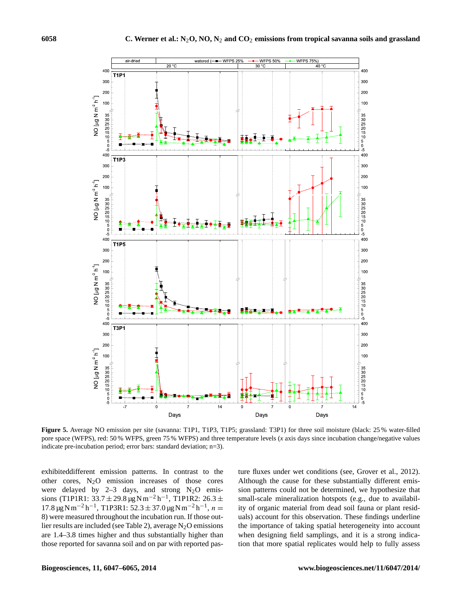

**Figure 5.** Average NO emission per site (savanna: T1P1, T1P3, T1P5; grassland: T3P1) for three soil moisture (black: 25 % water-filled pore space (WFPS), red: 50 % WFPS, green 75 % WFPS) and three temperature levels (*x* axis days since incubation change/negative values indicate pre-incubation period; error bars: standard deviation; n=3).

exhibiteddifferent emission patterns. In contrast to the other cores,  $N_2O$  emission increases of those cores were delayed by  $2-3$  days, and strong  $N_2O$  emissions (T1P1R1:  $33.7 \pm 29.8 \,\mu$ g Nm<sup>-2</sup> h<sup>-1</sup>, T1P1R2: 26.3 ±  $17.8 \,\mu g \,\mathrm{N m}^{-2} \,\mathrm{h}^{-1}$ , T1P3R1: 52.3 ± 37.0  $\mu g \,\mathrm{N m}^{-2} \,\mathrm{h}^{-1}$ ,  $n =$ 8) were measured throughout the incubation run. If those outlier results are included (see Table 2), average  $N_2O$  emissions are 1.4–3.8 times higher and thus substantially higher than those reported for savanna soil and on par with reported pasture fluxes under wet conditions (see, Grover et al., 2012). Although the cause for these substantially different emission patterns could not be determined, we hypothesize that small-scale mineralization hotspots (e.g., due to availability of organic material from dead soil fauna or plant residuals) account for this observation. These findings underline the importance of taking spatial heterogeneity into account when designing field samplings, and it is a strong indication that more spatial replicates would help to fully assess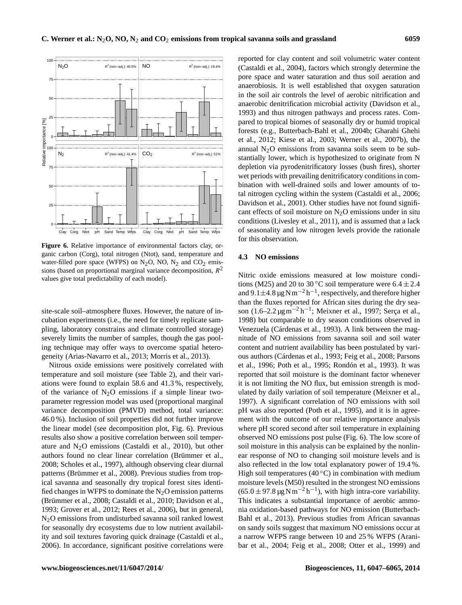

**Figure 6.** Relative importance of environmental factors clay, organic carbon (Corg), total nitrogen (Ntot), sand, temperature and water-filled pore space (WFPS) on  $N_2O$ , NO,  $N_2$  and  $CO_2$  emissions (based on proportional marginal variance decomposition,  $R^2$ values give total predictability of each model).

site-scale soil–atmosphere fluxes. However, the nature of incubation experiments (i.e., the need for timely replicate sampling, laboratory constrains and climate controlled storage) severely limits the number of samples, though the gas pooling technique may offer ways to overcome spatial heterogeneity (Arias-Navarro et al., 2013; Morris et al., 2013).

Nitrous oxide emissions were positively correlated with temperature and soil moisture (see Table 2), and their variations were found to explain 58.6 and 41.3 %, respectively, of the variance of  $N_2O$  emissions if a simple linear twoparameter regression model was used (proportional marginal variance decomposition (PMVD) method, total variance: 46.0 %). Inclusion of soil properties did not further improve the linear model (see decomposition plot, Fig. 6). Previous results also show a positive correlation between soil temperature and  $N_2O$  emissions (Castaldi et al., 2010), but other authors found no clear linear correlation (Brümmer et al., 2008; Scholes et al., 1997), although observing clear diurnal patterns (Brümmer et al., 2008). Previous studies from tropical savanna and seasonally dry tropical forest sites identified changes in WFPS to dominate the  $N<sub>2</sub>O$  emission patterns (Brümmer et al., 2008; Castaldi et al., 2010; Davidson et al., 1993; Grover et al., 2012; Rees et al., 2006), but in general, N2O emissions from undisturbed savanna soil ranked lowest for seasonally dry ecosystems due to low nutrient availability and soil textures favoring quick drainage (Castaldi et al., 2006). In accordance, significant positive correlations were reported for clay content and soil volumetric water content (Castaldi et al., 2004), factors which strongly determine the pore space and water saturation and thus soil aeration and anaerobiosis. It is well established that oxygen saturation in the soil air controls the level of aerobic nitrification and anaerobic denitrification microbial activity (Davidson et al., 1993) and thus nitrogen pathways and process rates. Compared to tropical biomes of seasonally dry or humid tropical forests (e.g., Butterbach-Bahl et al., 2004b; Gharahi Ghehi et al., 2012; Kiese et al., 2003; Werner et al., 2007b), the annual  $N<sub>2</sub>O$  emissions from savanna soils seem to be substantially lower, which is hypothesized to originate from N depletion via pyrodenitrificatory losses (bush fires), shorter wet periods with prevailing denitrificatory conditions in combination with well-drained soils and lower amounts of total nitrogen cycling within the system (Castaldi et al., 2006; Davidson et al., 2001). Other studies have not found significant effects of soil moisture on  $N<sub>2</sub>O$  emissions under in situ conditions (Livesley et al., 2011), and is assumed that a lack of seasonality and low nitrogen levels provide the rationale for this observation.

# **4.3 NO emissions**

Nitric oxide emissions measured at low moisture conditions (M25) and 20 to 30 °C soil temperature were  $6.4 \pm 2.4$ and  $9.1 \pm 4.8 \,\mathrm{\upmu g\,N\,m^{-2}\,h^{-1}}$ , respectively, and therefore higher than the fluxes reported for African sites during the dry season (1.6–2.2 μg m<sup>-2</sup> h<sup>-1</sup>; Meixner et al., 1997; Serça et al., 1998) but comparable to dry season conditions observed in Venezuela (Cárdenas et al., 1993). A link between the magnitude of NO emissions from savanna soil and soil water content and nutrient availability has been postulated by various authors (Cárdenas et al., 1993; Feig et al., 2008; Parsons et al., 1996; Poth et al., 1995; Rondón et al., 1993). It was reported that soil moisture is the dominant factor whenever it is not limiting the NO flux, but emission strength is modulated by daily variation of soil temperature (Meixner et al., 1997). A significant correlation of NO emissions with soil pH was also reported (Poth et al., 1995), and it is in agreement with the outcome of our relative importance analysis where pH scored second after soil temperature in explaining observed NO emissions post pulse (Fig. 6). The low score of soil moisture in this analysis can be explained by the nonlinear response of NO to changing soil moisture levels and is also reflected in the low total explanatory power of 19.4 %. High soil temperatures (40  $\degree$ C) in combination with medium moisture levels (M50) resulted in the strongest NO emissions  $(65.0 \pm 97.8 \,\text{µg} \,\text{N} \,\text{m}^{-2} \,\text{h}^{-1})$ , with high intra-core variability. This indicates a substantial importance of aerobic ammonia oxidation-based pathways for NO emission (Butterbach-Bahl et al., 2013). Previous studies from African savannas on sandy soils suggest that maximum NO emissions occur at a narrow WFPS range between 10 and 25 % WFPS (Aranibar et al., 2004; Feig et al., 2008; Otter et al., 1999) and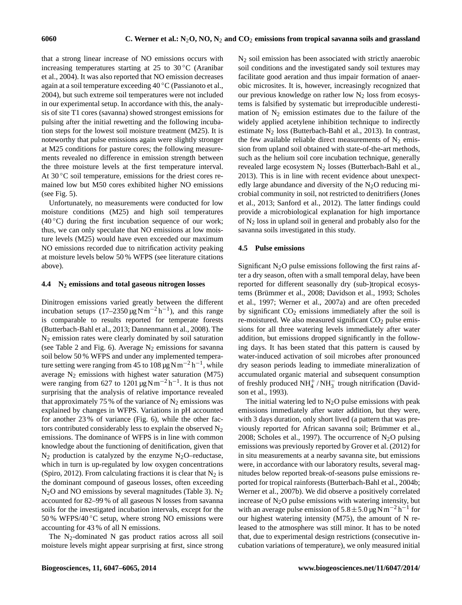that a strong linear increase of NO emissions occurs with increasing temperatures starting at 25 to  $30\,^{\circ}\text{C}$  (Aranibar et al., 2004). It was also reported that NO emission decreases again at a soil temperature exceeding 40 ◦C (Passianoto et al., 2004), but such extreme soil temperatures were not included in our experimental setup. In accordance with this, the analysis of site T1 cores (savanna) showed strongest emissions for pulsing after the initial rewetting and the following incubation steps for the lowest soil moisture treatment (M25). It is noteworthy that pulse emissions again were slightly stronger at M25 conditions for pasture cores; the following measurements revealed no difference in emission strength between the three moisture levels at the first temperature interval. At  $30^{\circ}$ C soil temperature, emissions for the driest cores remained low but M50 cores exhibited higher NO emissions (see Fig. 5).

Unfortunately, no measurements were conducted for low moisture conditions (M25) and high soil temperatures  $(40\degree C)$  during the first incubation sequence of our work; thus, we can only speculate that NO emissions at low moisture levels (M25) would have even exceeded our maximum NO emissions recorded due to nitrification activity peaking at moisture levels below 50 % WFPS (see literature citations above).

# **4.4 N<sup>2</sup> emissions and total gaseous nitrogen losses**

Dinitrogen emissions varied greatly between the different incubation setups  $(17-2350 \,\mu g N m^{-2} h^{-1})$ , and this range is comparable to results reported for temperate forests (Butterbach-Bahl et al., 2013; Dannenmann et al., 2008). The N<sup>2</sup> emission rates were clearly dominated by soil saturation (see Table 2 and Fig. 6). Average  $N_2$  emissions for savanna soil below 50 % WFPS and under any implemented temperature setting were ranging from 45 to  $108 \mu g N m^{-2} h^{-1}$ , while average  $N_2$  emissions with highest water saturation (M75) were ranging from 627 to 1201  $\mu$ g N m<sup>-2</sup> h<sup>-1</sup>. It is thus not surprising that the analysis of relative importance revealed that approximately 75 % of the variance of  $N_2$  emissions was explained by changes in WFPS. Variations in pH accounted for another 23 % of variance (Fig. 6), while the other factors contributed considerably less to explain the observed  $N_2$ emissions. The dominance of WFPS is in line with common knowledge about the functioning of denitification, given that  $N_2$  production is catalyzed by the enzyme  $N_2O$ –reductase, which in turn is up-regulated by low oxygen concentrations (Spiro, 2012). From calculating fractions it is clear that  $N_2$  is the dominant compound of gaseous losses, often exceeding  $N<sub>2</sub>O$  and NO emissions by several magnitudes (Table 3). N<sub>2</sub> accounted for 82–99 % of all gaseous N losses from savanna soils for the investigated incubation intervals, except for the  $50\%$  WFPS/40 °C setup, where strong NO emissions were accounting for 43 % of all N emissions.

The  $N_2$ -dominated N gas product ratios across all soil moisture levels might appear surprising at first, since strong  $N<sub>2</sub>$  soil emission has been associated with strictly anaerobic soil conditions and the investigated sandy soil textures may facilitate good aeration and thus impair formation of anaerobic microsites. It is, however, increasingly recognized that our previous knowledge on rather low  $N_2$  loss from ecosystems is falsified by systematic but irreproducible underestimation of  $N_2$  emission estimates due to the failure of the widely applied acetylene inhibition technique to indirectly estimate  $N_2$  loss (Butterbach-Bahl et al., 2013). In contrast, the few available reliable direct measurements of  $N_2$  emission from upland soil obtained with state-of-the-art methods, such as the helium soil core incubation technique, generally revealed large ecosystem N<sub>2</sub> losses (Butterbach-Bahl et al., 2013). This is in line with recent evidence about unexpectedly large abundance and diversity of the  $N<sub>2</sub>O$  reducing microbial community in soil, not restricted to denitrifiers (Jones et al., 2013; Sanford et al., 2012). The latter findings could provide a microbiological explanation for high importance of  $N_2$  loss in upland soil in general and probably also for the savanna soils investigated in this study.

# **4.5 Pulse emissions**

Significant  $N_2O$  pulse emissions following the first rains after a dry season, often with a small temporal delay, have been reported for different seasonally dry (sub-)tropical ecosystems (Brümmer et al., 2008; Davidson et al., 1993; Scholes et al., 1997; Werner et al., 2007a) and are often preceded by significant  $CO<sub>2</sub>$  emissions immediately after the soil is re-moistured. We also measured significant  $CO<sub>2</sub>$  pulse emissions for all three watering levels immediately after water addition, but emissions dropped significantly in the following days. It has been stated that this pattern is caused by water-induced activation of soil microbes after pronounced dry season periods leading to immediate mineralization of accumulated organic material and subsequent consumption of freshly produced  $NH_4^+ / NH_3^-$  trough nitrification (Davidson et al., 1993).

The initial watering led to  $N_2O$  pulse emissions with peak emissions immediately after water addition, but they were, with 3 days duration, only short lived (a pattern that was previously reported for African savanna soil; Brümmer et al., 2008; Scholes et al., 1997). The occurrence of  $N_2O$  pulsing emissions was previously reported by Grover et al. (2012) for in situ measurements at a nearby savanna site, but emissions were, in accordance with our laboratory results, several magnitudes below reported break-of-seasons pulse emissions reported for tropical rainforests (Butterbach-Bahl et al., 2004b; Werner et al., 2007b). We did observe a positively correlated increase of  $N_2O$  pulse emissions with watering intensity, but with an average pulse emission of  $5.8 \pm 5.0 \,\mathrm{\mu g N m^{-2} h^{-1}}$  for our highest watering intensity (M75), the amount of N released to the atmosphere was still minor. It has to be noted that, due to experimental design restrictions (consecutive incubation variations of temperature), we only measured initial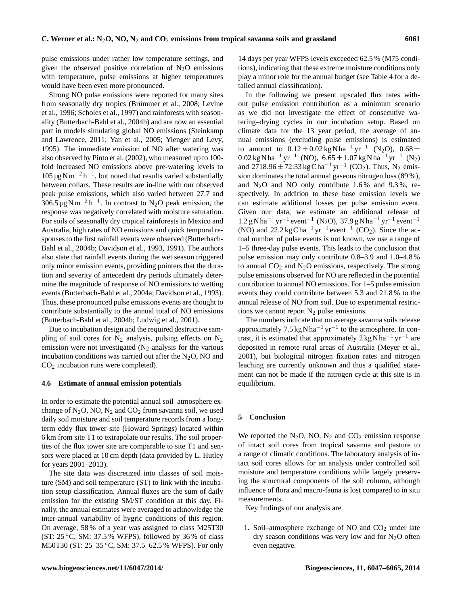pulse emissions under rather low temperature settings, and given the observed positive correlation of  $N_2O$  emissions with temperature, pulse emissions at higher temperatures would have been even more pronounced.

Strong NO pulse emissions were reported for many sites from seasonally dry tropics (Brümmer et al., 2008; Levine et al., 1996; Scholes et al., 1997) and rainforests with seasonality (Butterbach-Bahl et al., 2004b) and are now an essential part in models simulating global NO emissions (Steinkamp and Lawrence, 2011; Yan et al., 2005; Yienger and Levy, 1995). The immediate emission of NO after watering was also observed by Pinto et al. (2002), who measured up to 100 fold increased NO emissions above pre-watering levels to 105 μg N m<sup>-2</sup> h<sup>-1</sup>, but noted that results varied substantially between collars. These results are in-line with our observed peak pulse emissions, which also varied between 27.7 and  $306.5 \,\mathrm{\mu g\,Nm^{-2}\,h^{-1}}$ . In contrast to N<sub>2</sub>O peak emission, the response was negatively correlated with moisture saturation. For soils of seasonally dry tropical rainforests in Mexico and Australia, high rates of NO emissions and quick temporal responses to the first rainfall events were observed (Butterbach-Bahl et al., 2004b; Davidson et al., 1993, 1991). The authors also state that rainfall events during the wet season triggered only minor emission events, providing pointers that the duration and severity of antecedent dry periods ultimately determine the magnitude of response of NO emissions to wetting events (Butterbach-Bahl et al., 2004a; Davidson et al., 1993). Thus, these pronounced pulse emissions events are thought to contribute substantially to the annual total of NO emissions (Butterbach-Bahl et al., 2004b; Ludwig et al., 2001).

Due to incubation design and the required destructive sampling of soil cores for  $N_2$  analysis, pulsing effects on  $N_2$ emission were not investigated  $(N_2)$  analysis for the various incubation conditions was carried out after the  $N_2O$ , NO and CO<sup>2</sup> incubation runs were completed).

# **4.6 Estimate of annual emission potentials**

In order to estimate the potential annual soil–atmosphere exchange of  $N_2O$ , NO,  $N_2$  and  $CO_2$  from savanna soil, we used daily soil moisture and soil temperature records from a longterm eddy flux tower site (Howard Springs) located within 6 km from site T1 to extrapolate our results. The soil properties of the flux tower site are comparable to site T1 and sensors were placed at 10 cm depth (data provided by L. Hutley for years 2001–2013).

The site data was discretized into classes of soil moisture (SM) and soil temperature (ST) to link with the incubation setup classification. Annual fluxes are the sum of daily emission for the existing SM/ST condition at this day. Finally, the annual estimates were averaged to acknowledge the inter-annual variability of hygric conditions of this region. On average, 58 % of a year was assigned to class M25T30 (ST:  $25\,^{\circ}\text{C}$ , SM:  $37.5\%$  WFPS), followed by  $36\%$  of class M50T30 (ST: 25–35 °C, SM: 37.5–62.5 % WFPS). For only

14 days per year WFPS levels exceeded 62.5 % (M75 conditions), indicating that these extreme moisture conditions only play a minor role for the annual budget (see Table 4 for a detailed annual classification).

In the following we present upscaled flux rates without pulse emission contribution as a minimum scenario as we did not investigate the effect of consecutive watering–drying cycles in our incubation setup. Based on climate data for the 13 year period, the average of annual emissions (excluding pulse emissions) is estimated to amount to  $0.12 \pm 0.02$  kg N ha<sup>-1</sup> yr<sup>-1</sup> (N<sub>2</sub>O),  $0.68 \pm$  $0.02 \text{ kg} \text{N} \text{h} \text{a}^{-1} \text{ yr}^{-1}$  (NO),  $6.65 \pm 1.07 \text{ kg} \text{N} \text{h} \text{a}^{-1} \text{ yr}^{-1}$  (N<sub>2</sub>) and 2718.96  $\pm$  72.33 kg Cha<sup>-1</sup> yr<sup>-1</sup> (CO<sub>2</sub>). Thus, N<sub>2</sub> emission dominates the total annual gaseous nitrogen loss (89 %), and  $N_2O$  and NO only contribute 1.6% and 9.3%, respectively. In addition to these base emission levels we can estimate additional losses per pulse emission event. Given our data, we estimate an additional release of 1.2 g N ha<sup>-1</sup> yr<sup>-1</sup> event<sup>-1</sup> (N<sub>2</sub>O), 37.9 g N ha<sup>-1</sup> yr<sup>-1</sup> event<sup>-1</sup> (NO) and  $22.2 \text{ kg} \text{Cha}^{-1} \text{ yr}^{-1}$  event<sup>-1</sup> (CO<sub>2</sub>). Since the actual number of pulse events is not known, we use a range of 1–5 three-day pulse events. This leads to the conclusion that pulse emission may only contribute 0.8–3.9 and 1.0–4.8 % to annual  $CO<sub>2</sub>$  and  $N<sub>2</sub>O$  emissions, respectively. The strong pulse emissions observed for NO are reflected in the potential contribution to annual NO emissions. For 1–5 pulse emission events they could contribute between 5.3 and 21.8 % to the annual release of NO from soil. Due to experimental restrictions we cannot report  $N_2$  pulse emissions.

The numbers indicate that on average savanna soils release approximately  $7.5 \text{ kg} \text{ N} \text{ ha}^{-1} \text{ yr}^{-1}$  to the atmosphere. In contrast, it is estimated that approximately  $2 \text{ kg N} \hat{\text{h}} \text{a}^{-1} \text{ yr}^{-1}$  are deposited in remote rural areas of Australia (Meyer et al., 2001), but biological nitrogen fixation rates and nitrogen leaching are currently unknown and thus a qualified statement can not be made if the nitrogen cycle at this site is in equilibrium.

## **5 Conclusion**

We reported the  $N_2O$ , NO,  $N_2$  and  $CO_2$  emission response of intact soil cores from tropical savanna and pasture to a range of climatic conditions. The laboratory analysis of intact soil cores allows for an analysis under controlled soil moisture and temperature conditions while largely preserving the structural components of the soil column, although influence of flora and macro-fauna is lost compared to in situ measurements.

Key findings of our analysis are

1. Soil–atmosphere exchange of NO and  $CO<sub>2</sub>$  under late dry season conditions was very low and for  $N_2O$  often even negative.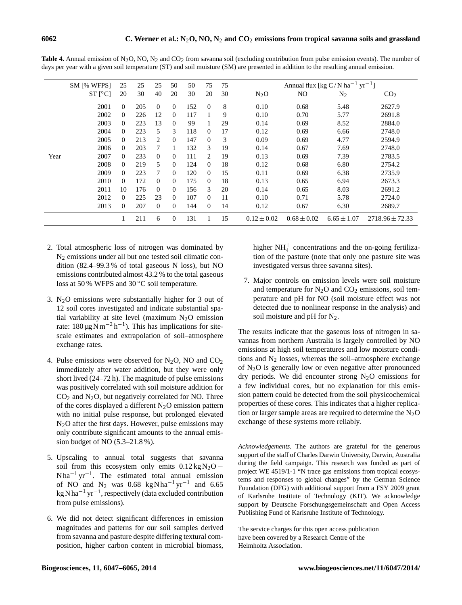|      | <b>SM [% WFPS]</b>   | 25       | 25  | 25       | 50             | 50  | 75             | 75 |                 | Annual flux [kg C/N ha <sup>-1</sup> yr <sup>-1</sup> ] |                 |                     |  |  |
|------|----------------------|----------|-----|----------|----------------|-----|----------------|----|-----------------|---------------------------------------------------------|-----------------|---------------------|--|--|
|      | $ST$ [ $^{\circ}C$ ] | 20       | 30  | 40       | 20             | 30  | 20             | 30 | $N_2O$          | NO                                                      | $N_2$           | CO <sub>2</sub>     |  |  |
|      | 2001                 | $\Omega$ | 205 | $\Omega$ | $\Omega$       | 152 | $\theta$       | 8  | 0.10            | 0.68                                                    | 5.48            | 2627.9              |  |  |
|      | 2002                 | $\Omega$ | 226 | 12       | $\Omega$       | 117 |                | 9  | 0.10            | 0.70                                                    | 5.77            | 2691.8              |  |  |
|      | 2003                 | $\Omega$ | 223 | 13       | $\Omega$       | 99  |                | 29 | 0.14            | 0.69                                                    | 8.52            | 2884.0              |  |  |
|      | 2004                 | $\Omega$ | 223 | 5        | 3              | 118 | 0              | 17 | 0.12            | 0.69                                                    | 6.66            | 2748.0              |  |  |
|      | 2005                 | $\Omega$ | 213 | 2        | $\Omega$       | 147 | 0              | 3  | 0.09            | 0.69                                                    | 4.77            | 2594.9              |  |  |
|      | 2006                 | $\theta$ | 203 | 7        |                | 132 | 3              | 19 | 0.14            | 0.67                                                    | 7.69            | 2748.0              |  |  |
| Year | 2007                 | $\theta$ | 233 | $\Omega$ | $\Omega$       | 111 | $\mathfrak{D}$ | 19 | 0.13            | 0.69                                                    | 7.39            | 2783.5              |  |  |
|      | 2008                 | $\Omega$ | 219 | 5        | $\Omega$       | 124 | $\Omega$       | 18 | 0.12            | 0.68                                                    | 6.80            | 2754.2              |  |  |
|      | 2009                 | $\Omega$ | 223 | 7        | $\Omega$       | 120 | 0              | 15 | 0.11            | 0.69                                                    | 6.38            | 2735.9              |  |  |
|      | 2010                 | $\Omega$ | 172 | $\Omega$ | $\Omega$       | 175 | $\Omega$       | 18 | 0.13            | 0.65                                                    | 6.94            | 2673.3              |  |  |
|      | 2011                 | 10       | 176 | $\Omega$ | $\Omega$       | 156 | 3              | 20 | 0.14            | 0.65                                                    | 8.03            | 2691.2              |  |  |
|      | 2012                 | $\Omega$ | 225 | 23       | $\Omega$       | 107 | 0              | 11 | 0.10            | 0.71                                                    | 5.78            | 2724.0              |  |  |
|      | 2013                 | $\Omega$ | 207 | $\Omega$ | $\overline{0}$ | 144 | 0              | 14 | 0.12            | 0.67                                                    | 6.30            | 2689.7              |  |  |
|      |                      |          | 211 | 6        | $\mathbf{0}$   | 131 |                | 15 | $0.12 \pm 0.02$ | $0.68 \pm 0.02$                                         | $6.65 \pm 1.07$ | $2718.96 \pm 72.33$ |  |  |

**Table 4.** Annual emission of N<sub>2</sub>O, NO, N<sub>2</sub> and CO<sub>2</sub> from savanna soil (excluding contribution from pulse emission events). The number of days per year with a given soil temperature (ST) and soil moisture (SM) are presented in addition to the resulting annual emission.

- 2. Total atmospheric loss of nitrogen was dominated by N<sup>2</sup> emissions under all but one tested soil climatic condition (82.4–99.3 % of total gaseous N loss), but NO emissions contributed almost 43.2 % to the total gaseous loss at 50 % WFPS and 30 ◦C soil temperature.
- 3.  $N_2O$  emissions were substantially higher for 3 out of 12 soil cores investigated and indicate substantial spatial variability at site level (maximum  $N_2O$  emission rate:  $180 \mu g \text{N m}^{-2} \text{h}^{-1}$ ). This has implications for sitescale estimates and extrapolation of soil–atmosphere exchange rates.
- 4. Pulse emissions were observed for  $N_2O$ , NO and  $CO_2$ immediately after water addition, but they were only short lived (24–72 h). The magnitude of pulse emissions was positively correlated with soil moisture addition for  $CO<sub>2</sub>$  and N<sub>2</sub>O, but negatively correlated for NO. Three of the cores displayed a different  $N_2O$  emission pattern with no initial pulse response, but prolonged elevated  $N<sub>2</sub>O$  after the first days. However, pulse emissions may only contribute significant amounts to the annual emission budget of NO (5.3–21.8 %).
- 5. Upscaling to annual total suggests that savanna soil from this ecosystem only emits  $0.12 \text{ kg N}_2\text{O}$  – Nha<sup>-1</sup> yr<sup>-1</sup>. The estimated total annual emission of NO and N<sub>2</sub> was  $0.68 \text{ kg} \text{N} \text{h} \text{a}^{-1} \text{ yr}^{-1}$  and 6.65 kg N ha−<sup>1</sup> yr−<sup>1</sup> , respectively (data excluded contribution from pulse emissions).
- 6. We did not detect significant differences in emission magnitudes and patterns for our soil samples derived from savanna and pasture despite differing textural composition, higher carbon content in microbial biomass,

higher  $NH<sub>4</sub><sup>+</sup>$  concentrations and the on-going fertilization of the pasture (note that only one pasture site was investigated versus three savanna sites).

7. Major controls on emission levels were soil moisture and temperature for  $N_2O$  and  $CO_2$  emissions, soil temperature and pH for NO (soil moisture effect was not detected due to nonlinear response in the analysis) and soil moisture and pH for  $N_2$ .

The results indicate that the gaseous loss of nitrogen in savannas from northern Australia is largely controlled by NO emissions at high soil temperatures and low moisture conditions and  $N_2$  losses, whereas the soil–atmosphere exchange of  $N_2O$  is generally low or even negative after pronounced dry periods. We did encounter strong  $N_2O$  emissions for a few individual cores, but no explanation for this emission pattern could be detected from the soil physicochemical properties of these cores. This indicates that a higher replication or larger sample areas are required to determine the  $N_2O$ exchange of these systems more reliably.

*Acknowledgements.* The authors are grateful for the generous support of the staff of Charles Darwin University, Darwin, Australia during the field campaign. This research was funded as part of project WE 4519/1-1 "N trace gas emissions from tropical ecosystems and responses to global changes" by the German Science Foundation (DFG) with additional support from a FSY 2009 grant of Karlsruhe Institute of Technology (KIT). We acknowledge support by Deutsche Forschungsgemeinschaft and Open Access Publishing Fund of Karlsruhe Institute of Technology.

The service charges for this open access publication have been covered by a Research Centre of the Helmholtz Association.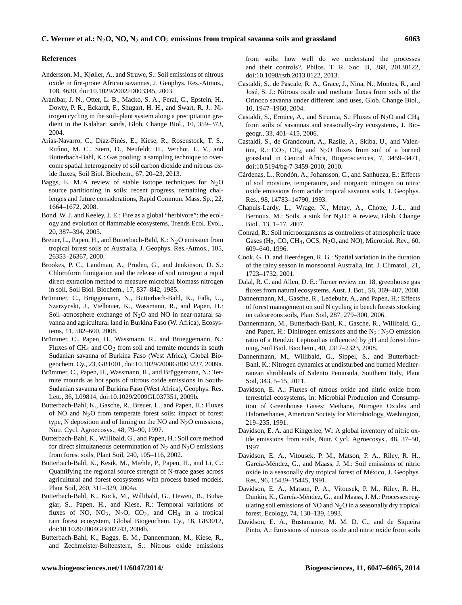#### **References**

- Andersson, M., Kjøller, A., and Struwe, S.: Soil emissions of nitrous oxide in fire-prone African savannas, J. Geophys. Res.-Atmos., 108, 4630, doi[:10.1029/2002JD003345,](http://dx.doi.org/10.1029/2002JD003345) 2003.
- Aranibar, J. N., Otter, L. B., Macko, S. A., Feral, C., Epstein, H., Dowty, P. R., Eckardt, F., Shugart, H. H., and Swart, R. J.: Nitrogen cycling in the soil–plant system along a precipitation gradient in the Kalahari sands, Glob. Change Biol., 10, 359–373, 2004.
- Arias-Navarro, C., Díaz-Pinés, E., Kiese, R., Rosenstock, T. S., Rufino, M. C., Stern, D., Neufeldt, H., Verchot, L. V., and Butterbach-Bahl, K.: Gas pooling: a sampling technique to overcome spatial heterogeneity of soil carbon dioxide and nitrous oxide fluxes, Soil Biol. Biochem., 67, 20–23, 2013.
- Baggs, E. M.:A review of stable isotope techniques for  $N_2O$ source partitioning in soils: recent progress, remaining challenges and future considerations, Rapid Commun. Mass. Sp., 22, 1664–1672, 2008.
- Bond, W. J. and Keeley, J. E.: Fire as a global "herbivore": the ecology and evolution of flammable ecosystems, Trends Ecol. Evol., 20, 387–394, 2005.
- Breuer, L., Papen, H., and Butterbach-Bahl, K.:  $N_2O$  emission from tropical forest soils of Australia, J. Geophys. Res.-Atmos., 105, 26353–26367, 2000.
- Brookes, P. C., Landman, A., Pruden, G., and Jenkinson, D. S.: Chloroform fumigation and the release of soil nitrogen: a rapid direct extraction method to measure microbial biomass nitrogen in soil, Soil Biol. Biochem., 17, 837–842, 1985.
- Brümmer, C., Brüggemann, N., Butterbach-Bahl, K., Falk, U., Szarzynski, J., Vielhauer, K., Wassmann, R., and Papen, H.: Soil–atmosphere exchange of  $N<sub>2</sub>O$  and NO in near-natural savanna and agricultural land in Burkina Faso (W. Africa), Ecosystems, 11, 582–600, 2008.
- Brümmer, C., Papen, H., Wassmann, R., and Brueggemann, N.: Fluxes of  $CH_4$  and  $CO_2$  from soil and termite mounds in south Sudanian savanna of Burkina Faso (West Africa), Global Biogeochem. Cy., 23, GB1001, doi[:10.1029/2008GB003237,](http://dx.doi.org/10.1029/2008GB003237) 2009a.
- Brümmer, C., Papen, H., Wassmann, R., and Brüggemann, N.: Termite mounds as hot spots of nitrous oxide emissions in South-Sudanian savanna of Burkina Faso (West Africa), Geophys. Res. Lett., 36, L09814, doi[:10.1029/2009GL037351,](http://dx.doi.org/10.1029/2009GL037351) 2009b.
- Butterbach-Bahl, K., Gasche, R., Breuer, L., and Papen, H.: Fluxes of NO and N2O from temperate forest soils: impact of forest type, N deposition and of liming on the NO and  $N<sub>2</sub>O$  emissions, Nutr. Cycl. Agroecosys., 48, 79–90, 1997.
- Butterbach-Bahl, K., Willibald, G., and Papen, H.: Soil core method for direct simultaneous determination of  $N_2$  and  $N_2O$  emissions from forest soils, Plant Soil, 240, 105–116, 2002.
- Butterbach-Bahl, K., Kesik, M., Miehle, P., Papen, H., and Li, C.: Quantifying the regional source strength of N-trace gases across agricultural and forest ecosystems with process based models, Plant Soil, 260, 311–329, 2004a.
- Butterbach-Bahl, K., Kock, M., Willibald, G., Hewett, B., Buhagiar, S., Papen, H., and Kiese, R.: Temporal variations of fluxes of NO,  $NO_2$ ,  $N_2O$ ,  $CO_2$ , and  $CH_4$  in a tropical rain forest ecosystem, Global Biogeochem. Cy., 18, GB3012, doi[:10.1029/2004GB002243,](http://dx.doi.org/10.1029/2004GB002243) 2004b.
- Butterbach-Bahl, K., Baggs, E. M., Dannenmann, M., Kiese, R., and Zechmeister-Boltenstern, S.: Nitrous oxide emissions

from soils: how well do we understand the processes and their controls?, Philos. T. R. Soc. B, 368, 20130122, doi[:10.1098/rstb.2013.0122,](http://dx.doi.org/10.1098/rstb.2013.0122) 2013.

- Castaldi, S., de Pascale, R. A., Grace, J., Nina, N., Montes, R., and José, S. J.: Nitrous oxide and methane fluxes from soils of the Orinoco savanna under different land uses, Glob. Change Biol., 10, 1947–1960, 2004.
- Castaldi, S., Ermice, A., and Strumia, S.: Fluxes of N<sub>2</sub>O and CH<sub>4</sub> from soils of savannas and seasonally-dry ecosystems, J. Biogeogr., 33, 401–415, 2006.
- Castaldi, S., de Grandcourt, A., Rasile, A., Skiba, U., and Valentini, R.:  $CO<sub>2</sub>$ , CH<sub>4</sub> and N<sub>2</sub>O fluxes from soil of a burned grassland in Central Africa, Biogeosciences, 7, 3459–3471, doi[:10.5194/bg-7-3459-2010,](http://dx.doi.org/10.5194/bg-7-3459-2010) 2010.
- Cárdenas, L., Rondón, A., Johansson, C., and Sanhueza, E.: Effects of soil moisture, temperature, and inorganic nitrogen on nitric oxide emissions from acidic tropical savanna soils, J. Geophys. Res., 98, 14783–14790, 1993.
- Chapuis-Lardy, L., Wrage, N., Metay, A., Chotte, J.-L., and Bernoux, M.: Soils, a sink for  $N<sub>2</sub>O$ ? A review, Glob. Change Biol., 13, 1–17, 2007.
- Conrad, R.: Soil microorganisms as controllers of atmospheric trace Gases  $(H_2, CO, CH_4, OCS, N_2O, and NO)$ , Microbiol. Rev., 60, 609–640, 1996.
- Cook, G. D. and Heerdegen, R. G.: Spatial variation in the duration of the rainy season in monsoonal Australia, Int. J. Climatol., 21, 1723–1732, 2001.
- Dalal, R. C. and Allen, D. E.: Turner review no. 18, greenhouse gas fluxes from natural ecosystems, Aust. J. Bot., 56, 369–407, 2008.
- Dannenmann, M., Gasche, R., Ledebuhr, A., and Papen, H.: Effects of forest management on soil N cycling in beech forests stocking on calcareous soils, Plant Soil, 287, 279–300, 2006.
- Dannenmann, M., Butterbach-Bahl, K., Gasche, R., Willibald, G., and Papen, H.: Dinitrogen emissions and the  $N_2$ :  $N_2O$  emission ratio of a Rendzic Leptosol as influenced by pH and forest thinning, Soil Biol. Biochem., 40, 2317–2323, 2008.
- Dannenmann, M., Willibald, G., Sippel, S., and Butterbach-Bahl, K.: Nitrogen dynamics at undisturbed and burned Mediterranean shrublands of Salento Peninsula, Southern Italy, Plant Soil, 343, 5–15, 2011.
- Davidson, E. A.: Fluxes of nitrous oxide and nitric oxide from terrestrial ecosystems, in: Microbial Production and Consumption of Greenhouse Gases: Methane, Nitrogen Oxides and Halomethanes, American Society for Microbiology, Washington, 219–235, 1991.
- Davidson, E. A. and Kingerlee, W.: A global inventory of nitric oxide emissions from soils, Nutr. Cycl. Agroecosys., 48, 37–50, 1997.
- Davidson, E. A., Vitousek, P. M., Matson, P. A., Riley, R. H., García-Méndez, G., and Maass, J. M.: Soil emissions of nitric oxide in a seasonally dry tropical forest of México, J. Geophys. Res., 96, 15439–15445, 1991.
- Davidson, E. A., Matson, P. A., Vitousek, P. M., Riley, R. H., Dunkin, K., García-Méndez, G., and Maass, J. M.: Processes regulating soil emissions of NO and  $N_2O$  in a seasonally dry tropical forest, Ecology, 74, 130–139, 1993.
- Davidson, E. A., Bustamante, M. M. D. C., and de Siqueira Pinto, A.: Emissions of nitrous oxide and nitric oxide from soils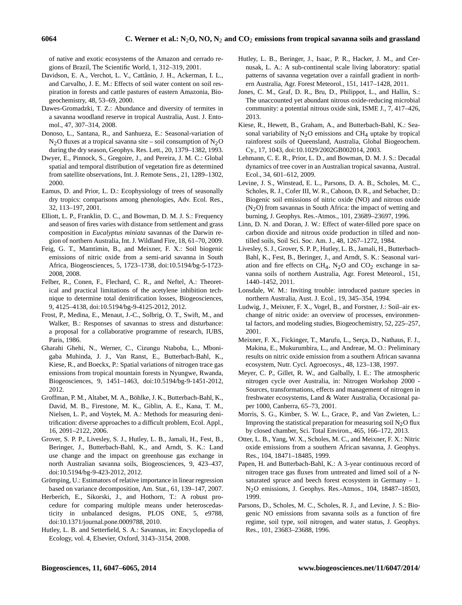of native and exotic ecosystems of the Amazon and cerrado regions of Brazil, The Scientific World, 1, 312–319, 2001.

- Davidson, E. A., Verchot, L. V., Cattânio, J. H., Ackerman, I. L., and Carvalho, J. E. M.: Effects of soil water content on soil respiration in forests and cattle pastures of eastern Amazonia, Biogeochemistry, 48, 53–69, 2000.
- Dawes-Gromadzki, T. Z.: Abundance and diversity of termites in a savanna woodland reserve in tropical Australia, Aust. J. Entomol., 47, 307–314, 2008.
- Donoso, L., Santana, R., and Sanhueza, E.: Seasonal-variation of  $N_2O$  fluxes at a tropical savanna site – soil consumption of  $N_2O$ during the dry season, Geophys. Res. Lett., 20, 1379–1382, 1993.
- Dwyer, E., Pinnock, S., Gregoire, J., and Pereira, J. M. C.: Global spatial and temporal distribution of vegetation fire as determined from satellite observations, Int. J. Remote Sens., 21, 1289–1302, 2000.
- Eamus, D. and Prior, L. D.: Ecophysiology of trees of seasonally dry tropics: comparisons among phenologies, Adv. Ecol. Res., 32, 113–197, 2001.
- Elliott, L. P., Franklin, D. C., and Bowman, D. M. J. S.: Frequency and season of fires varies with distance from settlement and grass composition in *Eucalyptus miniata* savannas of the Darwin region of northern Australia, Int. J. Wildland Fire, 18, 61–70, 2009.
- Feig, G. T., Mamtimin, B., and Meixner, F. X.: Soil biogenic emissions of nitric oxide from a semi-arid savanna in South Africa, Biogeosciences, 5, 1723–1738, doi[:10.5194/bg-5-1723-](http://dx.doi.org/10.5194/bg-5-1723-2008) [2008,](http://dx.doi.org/10.5194/bg-5-1723-2008) 2008.
- Felber, R., Conen, F., Flechard, C. R., and Neftel, A.: Theoretical and practical limitations of the acetylene inhibition technique to determine total denitrification losses, Biogeosciences, 9, 4125–4138, doi[:10.5194/bg-9-4125-2012,](http://dx.doi.org/10.5194/bg-9-4125-2012) 2012.
- Frost, P., Medina, E., Menaut, J.-C., Solbrig, O. T., Swift, M., and Walker, B.: Responses of savannas to stress and disturbance: a proposal for a collaborative programme of research, IUBS, Paris, 1986.
- Gharahi Ghehi, N., Werner, C., Cizungu Ntaboba, L., Mbonigaba Muhinda, J. J., Van Ranst, E., Butterbach-Bahl, K., Kiese, R., and Boeckx, P.: Spatial variations of nitrogen trace gas emissions from tropical mountain forests in Nyungwe, Rwanda, Biogeosciences, 9, 1451–1463, doi[:10.5194/bg-9-1451-2012,](http://dx.doi.org/10.5194/bg-9-1451-2012) 2012.
- Groffman, P. M., Altabet, M. A., Böhlke, J. K., Butterbach-Bahl, K., David, M. B., Firestone, M. K., Giblin, A. E., Kana, T. M., Nielsen, L. P., and Voytek, M. A.: Methods for measuring denitrification: diverse approaches to a difficult problem, Ecol. Appl., 16, 2091–2122, 2006.
- Grover, S. P. P., Livesley, S. J., Hutley, L. B., Jamali, H., Fest, B., Beringer, J., Butterbach-Bahl, K., and Arndt, S. K.: Land use change and the impact on greenhouse gas exchange in north Australian savanna soils, Biogeosciences, 9, 423–437, doi[:10.5194/bg-9-423-2012,](http://dx.doi.org/10.5194/bg-9-423-2012) 2012.
- Grömping, U.: Estimators of relative importance in linear regression based on variance decomposition, Am. Stat., 61, 139–147, 2007.
- Herberich, E., Sikorski, J., and Hothorn, T.: A robust procedure for comparing multiple means under heteroscedasticity in unbalanced designs, PLOS ONE, 5, e9788, doi[:10.1371/journal.pone.0009788,](http://dx.doi.org/10.1371/journal.pone.0009788) 2010.
- Hutley, L. B. and Setterfield, S. A.: Savannas, in: Encyclopedia of Ecology, vol. 4, Elsevier, Oxford, 3143–3154, 2008.
- Hutley, L. B., Beringer, J., Isaac, P. R., Hacker, J. M., and Cernusak, L. A.: A sub-continental scale living laboratory: spatial patterns of savanna vegetation over a rainfall gradient in northern Australia, Agr. Forest Meteorol., 151, 1417–1428, 2011.
- Jones, C. M., Graf, D. R., Bru, D., Philippot, L., and Hallin, S.: The unaccounted yet abundant nitrous oxide-reducing microbial community: a potential nitrous oxide sink, ISME J., 7, 417–426, 2013.
- Kiese, R., Hewett, B., Graham, A., and Butterbach-Bahl, K.: Seasonal variability of  $N_2O$  emissions and CH<sub>4</sub> uptake by tropical rainforest soils of Queensland, Australia, Global Biogeochem. Cy., 17, 1043, doi[:10.1029/2002GB002014,](http://dx.doi.org/10.1029/2002GB002014) 2003.
- Lehmann, C. E. R., Prior, L. D., and Bowman, D. M. J. S.: Decadal dynamics of tree cover in an Australian tropical savanna, Austral. Ecol., 34, 601–612, 2009.
- Levine, J. S., Winstead, E. L., Parsons, D. A. B., Scholes, M. C., Scholes, R. J., Cofer III, W. R., Cahoon, D. R., and Sebacher, D.: Biogenic soil emissions of nitric oxide (NO) and nitrous oxide  $(N<sub>2</sub>O)$  from savannas in South Africa: the impact of wetting and burning, J. Geophys. Res.-Atmos., 101, 23689–23697, 1996.
- Linn, D. N. and Doran, J. W.: Effect of water-filled pore space on carbon dioxide and nitrous oxide production in tilled and nontilled soils, Soil Sci. Soc. Am. J., 48, 1267–1272, 1984.
- Livesley, S. J., Grover, S. P. P., Hutley, L. B., Jamali, H., Butterbach-Bahl, K., Fest, B., Beringer, J., and Arndt, S. K.: Seasonal variation and fire effects on CH<sub>4</sub>, N<sub>2</sub>O and CO<sub>2</sub> exchange in savanna soils of northern Australia, Agr. Forest Meteorol., 151, 1440–1452, 2011.
- Lonsdale, W. M.: Inviting trouble: introduced pasture species in northern Australia, Aust. J. Ecol., 19, 345–354, 1994.
- Ludwig, J., Meixner, F. X., Vogel, B., and Forstner, J.: Soil–air exchange of nitric oxide: an overview of processes, environmental factors, and modeling studies, Biogeochemistry, 52, 225–257, 2001.
- Meixner, F. X., Fickinger, T., Marufu, L., Serça, D., Nathaus, F. J., Makina, E., Mukurumbira, L., and Andreae, M. O.: Preliminary results on nitric oxide emission from a southern African savanna ecosystem, Nutr. Cycl. Agroecosys., 48, 123–138, 1997.
- Meyer, C. P., Gillet, R. W., and Galbally, I. E.: The atmospheric nitrogen cycle over Australia, in: Nitrogen Workshop 2000 - Sources, transformations, effects and management of nitrogen in freshwater ecosystems, Land & Water Australia, Occasional paper 1000, Canberra, 65–73, 2001.
- Morris, S. G., Kimber, S. W. L., Grace, P., and Van Zwieten, L.: Improving the statistical preparation for measuring soil  $N<sub>2</sub>O$  flux by closed chamber, Sci. Total Environ., 465, 166–172, 2013.
- Otter, L. B., Yang, W. X., Scholes, M. C., and Meixner, F. X.: Nitric oxide emissions from a southern African savanna, J. Geophys. Res., 104, 18471–18485, 1999.
- Papen, H. and Butterbach-Bahl, K.: A 3-year continuous record of nitrogen trace gas fluxes from untreated and limed soil of a Nsaturated spruce and beech forest ecosystem in Germany – 1. N2O emissions, J. Geophys. Res.-Atmos., 104, 18487–18503, 1999.
- Parsons, D., Scholes, M. C., Scholes, R. J., and Levine, J. S.: Biogenic NO emissions from savanna soils as a function of fire regime, soil type, soil nitrogen, and water status, J. Geophys. Res., 101, 23683–23688, 1996.